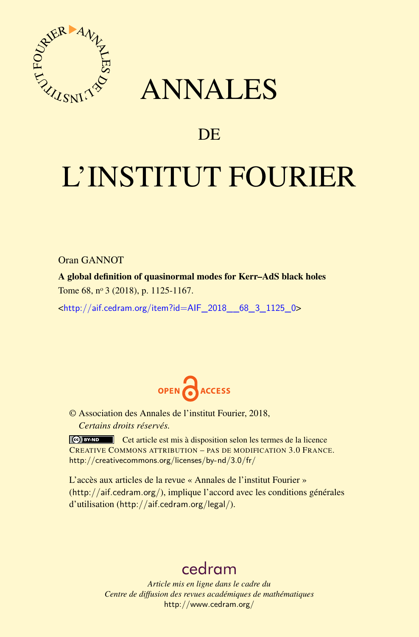

## ANNALES

### **DE**

# L'INSTITUT FOURIER

Oran GANNOT

A global definition of quasinormal modes for Kerr–AdS black holes Tome 68, nº 3 (2018), p. 1125-1167.

<[http://aif.cedram.org/item?id=AIF\\_2018\\_\\_68\\_3\\_1125\\_0](http://aif.cedram.org/item?id=AIF_2018__68_3_1125_0)>



© Association des Annales de l'institut Fourier, 2018, *Certains droits réservés.*

Cet article est mis à disposition selon les termes de la licence CREATIVE COMMONS ATTRIBUTION – PAS DE MODIFICATION 3.0 FRANCE. <http://creativecommons.org/licenses/by-nd/3.0/fr/>

L'accès aux articles de la revue « Annales de l'institut Fourier » (<http://aif.cedram.org/>), implique l'accord avec les conditions générales d'utilisation (<http://aif.cedram.org/legal/>).

## [cedram](http://www.cedram.org/)

*Article mis en ligne dans le cadre du Centre de diffusion des revues académiques de mathématiques* <http://www.cedram.org/>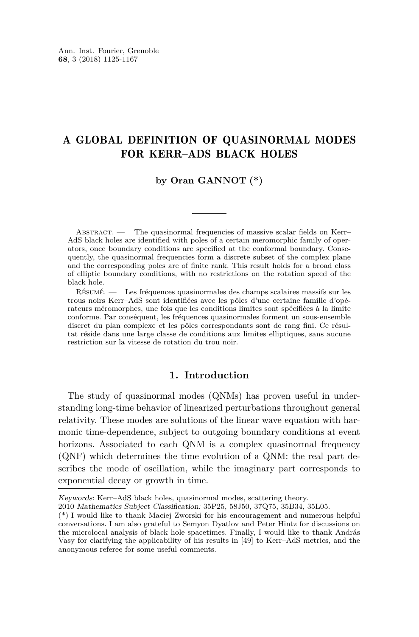#### A GLOBAL DEFINITION OF QUASINORMAL MODES FOR KERR–ADS BLACK HOLES

#### **by Oran GANNOT (\*)**

ABSTRACT. — The quasinormal frequencies of massive scalar fields on Kerr– AdS black holes are identified with poles of a certain meromorphic family of operators, once boundary conditions are specified at the conformal boundary. Consequently, the quasinormal frequencies form a discrete subset of the complex plane and the corresponding poles are of finite rank. This result holds for a broad class of elliptic boundary conditions, with no restrictions on the rotation speed of the black hole.

Résumé. — Les fréquences quasinormales des champs scalaires massifs sur les trous noirs Kerr–AdS sont identifiées avec les pôles d'une certaine famille d'opérateurs méromorphes, une fois que les conditions limites sont spécifiées à la limite conforme. Par conséquent, les fréquences quasinormales forment un sous-ensemble discret du plan complexe et les pôles correspondants sont de rang fini. Ce résultat réside dans une large classe de conditions aux limites elliptiques, sans aucune restriction sur la vitesse de rotation du trou noir.

#### **1. Introduction**

The study of quasinormal modes (QNMs) has proven useful in understanding long-time behavior of linearized perturbations throughout general relativity. These modes are solutions of the linear wave equation with harmonic time-dependence, subject to outgoing boundary conditions at event horizons. Associated to each QNM is a complex quasinormal frequency (QNF) which determines the time evolution of a QNM: the real part describes the mode of oscillation, while the imaginary part corresponds to exponential decay or growth in time.

Keywords: Kerr–AdS black holes, quasinormal modes, scattering theory.

<sup>2010</sup> Mathematics Subject Classification: 35P25, 58J50, 37Q75, 35B34, 35L05.

<sup>(\*)</sup> I would like to thank Maciej Zworski for his encouragement and numerous helpful conversations. I am also grateful to Semyon Dyatlov and Peter Hintz for discussions on the microlocal analysis of black hole spacetimes. Finally, I would like to thank András Vasy for clarifying the applicability of his results in [\[49\]](#page-42-0) to Kerr–AdS metrics, and the anonymous referee for some useful comments.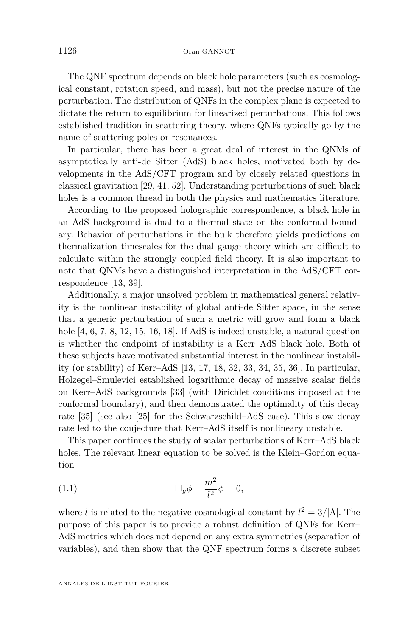The QNF spectrum depends on black hole parameters (such as cosmological constant, rotation speed, and mass), but not the precise nature of the perturbation. The distribution of QNFs in the complex plane is expected to dictate the return to equilibrium for linearized perturbations. This follows established tradition in scattering theory, where QNFs typically go by the name of scattering poles or resonances.

In particular, there has been a great deal of interest in the QNMs of asymptotically anti-de Sitter (AdS) black holes, motivated both by developments in the AdS/CFT program and by closely related questions in classical gravitation [\[29,](#page-41-0) [41,](#page-42-1) [52\]](#page-42-2). Understanding perturbations of such black holes is a common thread in both the physics and mathematics literature.

According to the proposed holographic correspondence, a black hole in an AdS background is dual to a thermal state on the conformal boundary. Behavior of perturbations in the bulk therefore yields predictions on thermalization timescales for the dual gauge theory which are difficult to calculate within the strongly coupled field theory. It is also important to note that QNMs have a distinguished interpretation in the AdS/CFT correspondence [\[13,](#page-41-1) [39\]](#page-42-3).

Additionally, a major unsolved problem in mathematical general relativity is the nonlinear instability of global anti-de Sitter space, in the sense that a generic perturbation of such a metric will grow and form a black hole  $[4, 6, 7, 8, 12, 15, 16, 18]$  $[4, 6, 7, 8, 12, 15, 16, 18]$  $[4, 6, 7, 8, 12, 15, 16, 18]$  $[4, 6, 7, 8, 12, 15, 16, 18]$  $[4, 6, 7, 8, 12, 15, 16, 18]$  $[4, 6, 7, 8, 12, 15, 16, 18]$  $[4, 6, 7, 8, 12, 15, 16, 18]$  $[4, 6, 7, 8, 12, 15, 16, 18]$  $[4, 6, 7, 8, 12, 15, 16, 18]$  $[4, 6, 7, 8, 12, 15, 16, 18]$  $[4, 6, 7, 8, 12, 15, 16, 18]$  $[4, 6, 7, 8, 12, 15, 16, 18]$  $[4, 6, 7, 8, 12, 15, 16, 18]$  $[4, 6, 7, 8, 12, 15, 16, 18]$  $[4, 6, 7, 8, 12, 15, 16, 18]$ . If AdS is indeed unstable, a natural question is whether the endpoint of instability is a Kerr–AdS black hole. Both of these subjects have motivated substantial interest in the nonlinear instability (or stability) of Kerr–AdS [\[13,](#page-41-1) [17,](#page-41-7) [18,](#page-41-6) [32,](#page-42-4) [33,](#page-42-5) [34,](#page-42-6) [35,](#page-42-7) [36\]](#page-42-8). In particular, Holzegel–Smulevici established logarithmic decay of massive scalar fields on Kerr–AdS backgrounds [\[33\]](#page-42-5) (with Dirichlet conditions imposed at the conformal boundary), and then demonstrated the optimality of this decay rate [\[35\]](#page-42-7) (see also [\[25\]](#page-41-8) for the Schwarzschild–AdS case). This slow decay rate led to the conjecture that Kerr–AdS itself is nonlineary unstable.

This paper continues the study of scalar perturbations of Kerr–AdS black holes. The relevant linear equation to be solved is the Klein–Gordon equation

<span id="page-2-0"></span>(1.1) 
$$
\Box_g \phi + \frac{m^2}{l^2} \phi = 0,
$$

where *l* is related to the negative cosmological constant by  $l^2 = 3/|\Lambda|$ . The purpose of this paper is to provide a robust definition of QNFs for Kerr– AdS metrics which does not depend on any extra symmetries (separation of variables), and then show that the QNF spectrum forms a discrete subset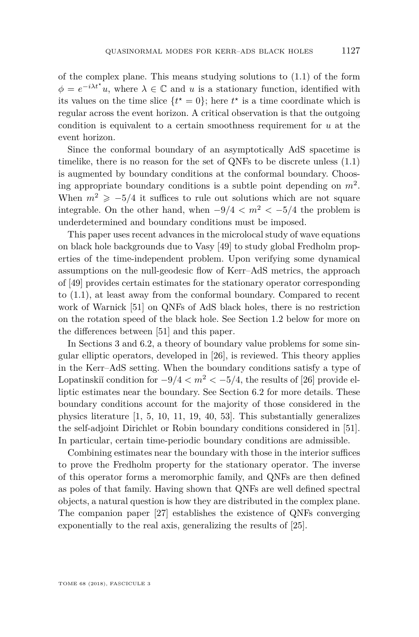of the complex plane. This means studying solutions to  $(1.1)$  of the form  $\phi = e^{-i\lambda t^*}u$ , where  $\lambda \in \mathbb{C}$  and *u* is a stationary function, identified with its values on the time slice  $\{t^* = 0\}$ ; here  $t^*$  is a time coordinate which is regular across the event horizon. A critical observation is that the outgoing condition is equivalent to a certain smoothness requirement for *u* at the event horizon.

Since the conformal boundary of an asymptotically AdS spacetime is timelike, there is no reason for the set of QNFs to be discrete unless  $(1.1)$ is augmented by boundary conditions at the conformal boundary. Choosing appropriate boundary conditions is a subtle point depending on *m*<sup>2</sup> . When  $m^2 \ge -5/4$  it suffices to rule out solutions which are not square integrable. On the other hand, when  $-9/4 < m^2 < -5/4$  the problem is underdetermined and boundary conditions must be imposed.

This paper uses recent advances in the microlocal study of wave equations on black hole backgrounds due to Vasy [\[49\]](#page-42-0) to study global Fredholm properties of the time-independent problem. Upon verifying some dynamical assumptions on the null-geodesic flow of Kerr–AdS metrics, the approach of [\[49\]](#page-42-0) provides certain estimates for the stationary operator corresponding to [\(1.1\)](#page-2-0), at least away from the conformal boundary. Compared to recent work of Warnick [\[51\]](#page-42-9) on QNFs of AdS black holes, there is no restriction on the rotation speed of the black hole. See Section [1.2](#page-7-0) below for more on the differences between [\[51\]](#page-42-9) and this paper.

In Sections [3](#page-13-0) and [6.2,](#page-29-0) a theory of boundary value problems for some singular elliptic operators, developed in [\[26\]](#page-41-9), is reviewed. This theory applies in the Kerr–AdS setting. When the boundary conditions satisfy a type of Lopatinskii´ condition for  $-9/4 < m^2 < -5/4$ , the results of [\[26\]](#page-41-9) provide elliptic estimates near the boundary. See Section [6.2](#page-29-0) for more details. These boundary conditions account for the majority of those considered in the physics literature [\[1,](#page-40-3) [5,](#page-40-4) [10,](#page-41-10) [11,](#page-41-11) [19,](#page-41-12) [40,](#page-42-10) [53\]](#page-43-0). This substantially generalizes the self-adjoint Dirichlet or Robin boundary conditions considered in [\[51\]](#page-42-9). In particular, certain time-periodic boundary conditions are admissible.

Combining estimates near the boundary with those in the interior suffices to prove the Fredholm property for the stationary operator. The inverse of this operator forms a meromorphic family, and QNFs are then defined as poles of that family. Having shown that QNFs are well defined spectral objects, a natural question is how they are distributed in the complex plane. The companion paper [\[27\]](#page-41-13) establishes the existence of QNFs converging exponentially to the real axis, generalizing the results of [\[25\]](#page-41-8).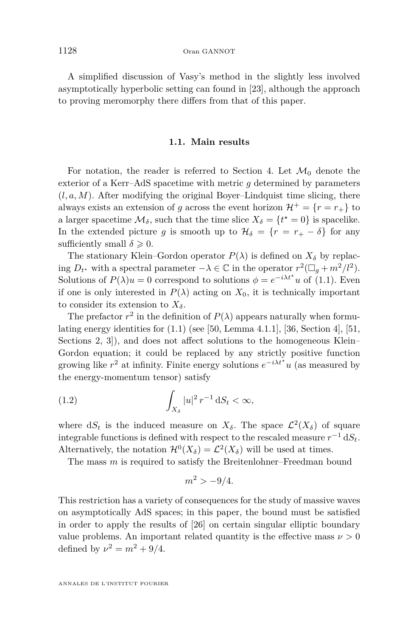A simplified discussion of Vasy's method in the slightly less involved asymptotically hyperbolic setting can found in [\[23\]](#page-41-14), although the approach to proving meromorphy there differs from that of this paper.

#### **1.1. Main results**

<span id="page-4-0"></span>For notation, the reader is referred to Section [4.](#page-16-0) Let  $\mathcal{M}_0$  denote the exterior of a Kerr–AdS spacetime with metric *g* determined by parameters  $(l, a, M)$ . After modifying the original Boyer–Lindquist time slicing, there always exists an extension of *g* across the event horizon  $\mathcal{H}^+ = \{r = r_+\}\)$ a larger spacetime  $\mathcal{M}_{\delta}$ , such that the time slice  $X_{\delta} = \{t^* = 0\}$  is spacelike. In the extended picture *g* is smooth up to  $\mathcal{H}_{\delta} = \{r = r_{+} - \delta\}$  for any sufficiently small  $\delta \geqslant 0$ .

The stationary Klein–Gordon operator  $P(\lambda)$  is defined on  $X_{\delta}$  by replacing  $D_t$ <sup>*★*</sup> with a spectral parameter  $-\lambda \in \mathbb{C}$  in the operator  $r^2(\Box_g + m^2/l^2)$ . Solutions of  $P(\lambda)u = 0$  correspond to solutions  $\phi = e^{-i\lambda t^*}u$  of [\(1.1\)](#page-2-0). Even if one is only interested in  $P(\lambda)$  acting on  $X_0$ , it is technically important to consider its extension to  $X_{\delta}$ .

The prefactor  $r^2$  in the definition of  $P(\lambda)$  appears naturally when formulating energy identities for  $(1.1)$  (see [\[50,](#page-42-11) Lemma 4.1.1], [\[36,](#page-42-8) Section 4], [\[51,](#page-42-9) Sections 2, 3]), and does not affect solutions to the homogeneous Klein– Gordon equation; it could be replaced by any strictly positive function growing like  $r^2$  at infinity. Finite energy solutions  $e^{-i\lambda t^*}u$  (as measured by the energy-momentum tensor) satisfy

(1.2) 
$$
\int_{X_{\delta}} |u|^2 r^{-1} \, \mathrm{d}S_t < \infty,
$$

where  $dS_t$  is the induced measure on  $X_{\delta}$ . The space  $\mathcal{L}^2(X_{\delta})$  of square integrable functions is defined with respect to the rescaled measure  $r^{-1}$  d $S_t$ . Alternatively, the notation  $\mathcal{H}^0(X_\delta) = \mathcal{L}^2(X_\delta)$  will be used at times.

The mass *m* is required to satisfy the Breitenlohner–Freedman bound

<span id="page-4-1"></span>
$$
m^2 > -9/4.
$$

This restriction has a variety of consequences for the study of massive waves on asymptotically AdS spaces; in this paper, the bound must be satisfied in order to apply the results of [\[26\]](#page-41-9) on certain singular elliptic boundary value problems. An important related quantity is the effective mass  $\nu > 0$ defined by  $\nu^2 = m^2 + 9/4$ .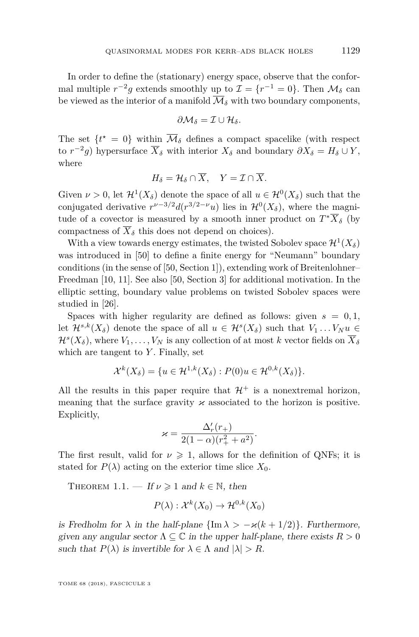In order to define the (stationary) energy space, observe that the conformal multiple  $r^{-2}g$  extends smoothly up to  $\mathcal{I} = \{r^{-1} = 0\}$ . Then  $\mathcal{M}_{\delta}$  can be viewed as the interior of a manifold  $\overline{\mathcal{M}}_{\delta}$  with two boundary components,

$$
\partial \mathcal{M}_{\delta} = \mathcal{I} \cup \mathcal{H}_{\delta}.
$$

The set  $\{t^* = 0\}$  within  $\overline{\mathcal{M}}_{\delta}$  defines a compact spacelike (with respect to  $r^{-2}g$ ) hypersurface  $\overline{X}_{\delta}$  with interior  $X_{\delta}$  and boundary  $\partial X_{\delta} = H_{\delta} \cup Y$ , where

$$
H_{\delta} = \mathcal{H}_{\delta} \cap \overline{X}, \quad Y = \mathcal{I} \cap \overline{X}.
$$

Given  $\nu > 0$ , let  $\mathcal{H}^1(X_\delta)$  denote the space of all  $u \in \mathcal{H}^0(X_\delta)$  such that the conjugated derivative  $r^{\nu-3/2}d(r^{3/2-\nu}u)$  lies in  $\mathcal{H}^0(X_\delta)$ , where the magnitude of a covector is measured by a smooth inner product on  $T^*\overline{X}_{\delta}$  (by compactness of  $\overline{X}_{\delta}$  this does not depend on choices).

With a view towards energy estimates, the twisted Sobolev space  $\mathcal{H}^1(X_\delta)$ was introduced in [\[50\]](#page-42-11) to define a finite energy for "Neumann" boundary conditions (in the sense of [\[50,](#page-42-11) Section 1]), extending work of Breitenlohner– Freedman [\[10,](#page-41-10) [11\]](#page-41-11). See also [\[50,](#page-42-11) Section 3] for additional motivation. In the elliptic setting, boundary value problems on twisted Sobolev spaces were studied in [\[26\]](#page-41-9).

Spaces with higher regularity are defined as follows: given  $s = 0, 1$ , let  $\mathcal{H}^{s,k}(X_{\delta})$  denote the space of all  $u \in \mathcal{H}^{s}(X_{\delta})$  such that  $V_1 \dots V_N u \in$  $\mathcal{H}^s(X_\delta)$ , where  $V_1, \ldots, V_N$  is any collection of at most  $k$  vector fields on  $\overline{X}_\delta$ which are tangent to *Y* . Finally, set

$$
\mathcal{X}^k(X_\delta) = \{ u \in \mathcal{H}^{1,k}(X_\delta) : P(0)u \in \mathcal{H}^{0,k}(X_\delta) \}.
$$

All the results in this paper require that  $\mathcal{H}^+$  is a nonextremal horizon, meaning that the surface gravity  $\varkappa$  associated to the horizon is positive. Explicitly,

$$
\varkappa = \frac{\Delta'_r(r_+)}{2(1-\alpha)(r_+^2 + a^2)}.
$$

The first result, valid for  $\nu \geq 1$ , allows for the definition of QNFs; it is stated for  $P(\lambda)$  acting on the exterior time slice  $X_0$ .

<span id="page-5-0"></span>THEOREM 1.1. — If  $\nu \geq 1$  and  $k \in \mathbb{N}$ , then

$$
P(\lambda) : \mathcal{X}^k(X_0) \to \mathcal{H}^{0,k}(X_0)
$$

is Fredholm for  $\lambda$  in the half-plane  $\{\text{Im }\lambda > -\varkappa(k+1/2)\}\$ . Furthermore, given any angular sector  $\Lambda \subseteq \mathbb{C}$  in the upper half-plane, there exists  $R > 0$ such that  $P(\lambda)$  is invertible for  $\lambda \in \Lambda$  and  $|\lambda| > R$ .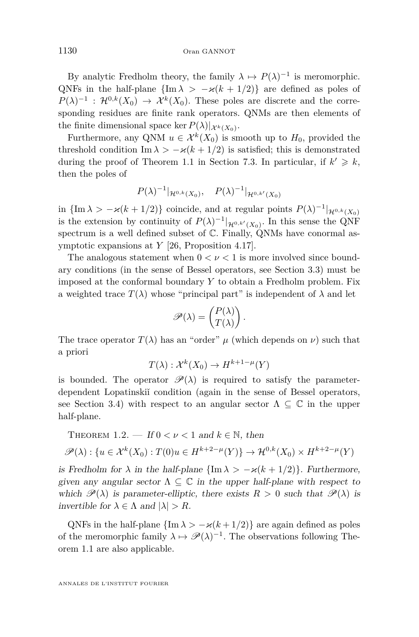By analytic Fredholm theory, the family  $\lambda \mapsto P(\lambda)^{-1}$  is meromorphic. QNFs in the half-plane  ${\rm \{Im }\lambda > -\varkappa (k+1/2)\}$  are defined as poles of  $P(\lambda)^{-1}$ :  $\mathcal{H}^{0,k}(X_0) \to \mathcal{X}^k(X_0)$ . These poles are discrete and the corresponding residues are finite rank operators. QNMs are then elements of the finite dimensional space ker  $P(\lambda)|_{\mathcal{X}^k(X_0)}$ .

Furthermore, any QNM  $u \in \mathcal{X}^k(X_0)$  is smooth up to  $H_0$ , provided the threshold condition Im  $\lambda > -\varkappa (k + 1/2)$  is satisfied; this is demonstrated during the proof of Theorem [1.1](#page-5-0) in Section [7.3.](#page-35-0) In particular, if  $k' \geq k$ , then the poles of

$$
P(\lambda)^{-1}|_{\mathcal{H}^{0,k}(X_0)}, \quad P(\lambda)^{-1}|_{\mathcal{H}^{0,k'}(X_0)}
$$

in  ${\{\ln \lambda > -\varkappa (k + 1/2)\}}$  coincide, and at regular points  $P(\lambda)^{-1} |_{\mathcal{H}^{0,k}(X_0)}$ is the extension by continuity of  $P(\lambda)^{-1}|_{\mathcal{H}^{0,k'}(X_0)}$ . In this sense the QNF spectrum is a well defined subset of  $\mathbb C$ . Finally, QNMs have conormal asymptotic expansions at *Y* [\[26,](#page-41-9) Proposition 4.17].

The analogous statement when  $0 < \nu < 1$  is more involved since boundary conditions (in the sense of Bessel operators, see Section [3.3\)](#page-15-0) must be imposed at the conformal boundary *Y* to obtain a Fredholm problem. Fix a weighted trace  $T(\lambda)$  whose "principal part" is independent of  $\lambda$  and let

$$
\mathscr{P}(\lambda) = \begin{pmatrix} P(\lambda) \\ T(\lambda) \end{pmatrix}.
$$

The trace operator  $T(\lambda)$  has an "order"  $\mu$  (which depends on  $\nu$ ) such that a priori

$$
T(\lambda) : \mathcal{X}^k(X_0) \to H^{k+1-\mu}(Y)
$$

is bounded. The operator  $\mathscr{P}(\lambda)$  is required to satisfy the parameterdependent Lopatinskiĭcondition (again in the sense of Bessel operators, see Section [3.4\)](#page-16-1) with respect to an angular sector  $\Lambda \subseteq \mathbb{C}$  in the upper half-plane.

<span id="page-6-0"></span>THEOREM 1.2. — If 
$$
0 < \nu < 1
$$
 and  $k \in \mathbb{N}$ , then

$$
\mathscr{P}(\lambda) : \{ u \in \mathcal{X}^k(X_0) : T(0)u \in H^{k+2-\mu}(Y) \} \to \mathcal{H}^{0,k}(X_0) \times H^{k+2-\mu}(Y)
$$

is Fredholm for  $\lambda$  in the half-plane  $\{\text{Im }\lambda > -\varkappa(k+1/2)\}\$ . Furthermore, given any angular sector  $\Lambda \subseteq \mathbb{C}$  in the upper half-plane with respect to which  $\mathscr{P}(\lambda)$  is parameter-elliptic, there exists  $R > 0$  such that  $\mathscr{P}(\lambda)$  is invertible for  $\lambda \in \Lambda$  and  $|\lambda| > R$ .

QNFs in the half-plane  $\{\text{Im }\lambda > -\varkappa(k+1/2)\}\$  are again defined as poles of the meromorphic family  $\lambda \mapsto \mathscr{P}(\lambda)^{-1}$ . The observations following Theorem [1.1](#page-5-0) are also applicable.

ANNALES DE L'INSTITUT FOURIER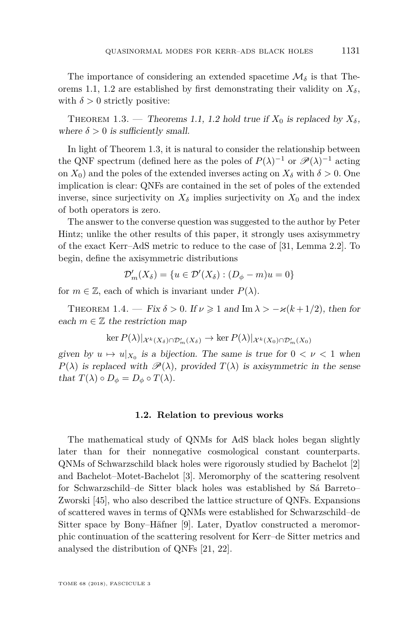The importance of considering an extended spacetime  $\mathcal{M}_{\delta}$  is that The-orems [1.1,](#page-5-0) [1.2](#page-6-0) are established by first demonstrating their validity on  $X_{\delta}$ , with  $\delta > 0$  strictly positive:

<span id="page-7-1"></span>THEOREM 1.3. — Theorems [1.1,](#page-5-0) [1.2](#page-6-0) hold true if  $X_0$  is replaced by  $X_\delta$ , where  $\delta > 0$  is sufficiently small.

In light of Theorem [1.3,](#page-7-1) it is natural to consider the relationship between the QNF spectrum (defined here as the poles of  $P(\lambda)^{-1}$  or  $\mathscr{P}(\lambda)^{-1}$  acting on  $X_0$ ) and the poles of the extended inverses acting on  $X_\delta$  with  $\delta > 0$ . One implication is clear: QNFs are contained in the set of poles of the extended inverse, since surjectivity on  $X_{\delta}$  implies surjectivity on  $X_0$  and the index of both operators is zero.

The answer to the converse question was suggested to the author by Peter Hintz; unlike the other results of this paper, it strongly uses axisymmetry of the exact Kerr–AdS metric to reduce to the case of [\[31,](#page-42-12) Lemma 2.2]. To begin, define the axisymmetric distributions

$$
\mathcal{D}'_m(X_\delta) = \{ u \in \mathcal{D}'(X_\delta) : (D_\phi - m)u = 0 \}
$$

for  $m \in \mathbb{Z}$ , each of which is invariant under  $P(\lambda)$ .

<span id="page-7-2"></span>THEOREM 1.4. — Fix  $\delta > 0$ . If  $\nu \ge 1$  and Im  $\lambda > -\varkappa (k+1/2)$ , then for each  $m \in \mathbb{Z}$  the restriction map

$$
\ker P(\lambda)|_{\mathcal{X}^k(X_\delta) \cap \mathcal{D}'_m(X_\delta)} \to \ker P(\lambda)|_{\mathcal{X}^k(X_0) \cap \mathcal{D}'_m(X_0)}
$$

given by  $u \mapsto u|_{X_0}$  is a bijection. The same is true for  $0 < \nu < 1$  when  $P(\lambda)$  is replaced with  $\mathscr{P}(\lambda)$ , provided  $T(\lambda)$  is axisymmetric in the sense that  $T(\lambda) \circ D_{\phi} = D_{\phi} \circ T(\lambda)$ .

#### **1.2. Relation to previous works**

<span id="page-7-0"></span>The mathematical study of QNMs for AdS black holes began slightly later than for their nonnegative cosmological constant counterparts. QNMs of Schwarzschild black holes were rigorously studied by Bachelot [\[2\]](#page-40-5) and Bachelot–Motet-Bachelot [\[3\]](#page-40-6). Meromorphy of the scattering resolvent for Schwarzschild–de Sitter black holes was established by Sá Barreto– Zworski [\[45\]](#page-42-13), who also described the lattice structure of QNFs. Expansions of scattered waves in terms of QNMs were established for Schwarzschild–de Sitter space by Bony–Häfner [\[9\]](#page-41-15). Later, Dyatlov constructed a meromorphic continuation of the scattering resolvent for Kerr–de Sitter metrics and analysed the distribution of QNFs [\[21,](#page-41-16) [22\]](#page-41-17).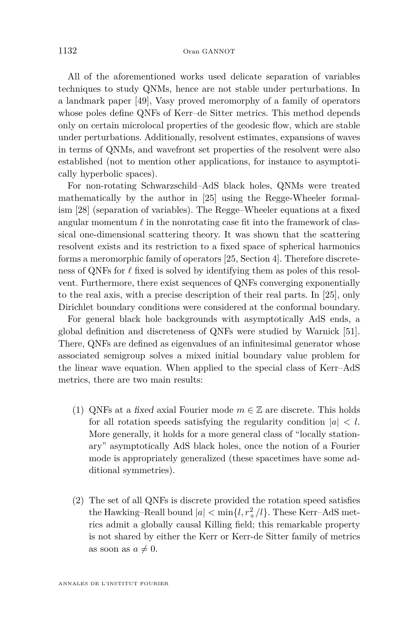All of the aforementioned works used delicate separation of variables techniques to study QNMs, hence are not stable under perturbations. In a landmark paper [\[49\]](#page-42-0), Vasy proved meromorphy of a family of operators whose poles define QNFs of Kerr–de Sitter metrics. This method depends only on certain microlocal properties of the geodesic flow, which are stable under perturbations. Additionally, resolvent estimates, expansions of waves in terms of QNMs, and wavefront set properties of the resolvent were also established (not to mention other applications, for instance to asymptotically hyperbolic spaces).

For non-rotating Schwarzschild–AdS black holes, QNMs were treated mathematically by the author in [\[25\]](#page-41-8) using the Regge-Wheeler formalism [\[28\]](#page-41-18) (separation of variables). The Regge–Wheeler equations at a fixed angular momentum  $\ell$  in the nonrotating case fit into the framework of classical one-dimensional scattering theory. It was shown that the scattering resolvent exists and its restriction to a fixed space of spherical harmonics forms a meromorphic family of operators [\[25,](#page-41-8) Section 4]. Therefore discreteness of QNFs for  $\ell$  fixed is solved by identifying them as poles of this resolvent. Furthermore, there exist sequences of QNFs converging exponentially to the real axis, with a precise description of their real parts. In [\[25\]](#page-41-8), only Dirichlet boundary conditions were considered at the conformal boundary.

For general black hole backgrounds with asymptotically AdS ends, a global definition and discreteness of QNFs were studied by Warnick [\[51\]](#page-42-9). There, QNFs are defined as eigenvalues of an infinitesimal generator whose associated semigroup solves a mixed initial boundary value problem for the linear wave equation. When applied to the special class of Kerr–AdS metrics, there are two main results:

- (1) QNFs at a fixed axial Fourier mode  $m \in \mathbb{Z}$  are discrete. This holds for all rotation speeds satisfying the regularity condition  $|a| < l$ . More generally, it holds for a more general class of "locally stationary" asymptotically AdS black holes, once the notion of a Fourier mode is appropriately generalized (these spacetimes have some additional symmetries).
- (2) The set of all QNFs is discrete provided the rotation speed satisfies the Hawking–Reall bound  $|a| < \min\{l, r^2_+/l\}$ . These Kerr–AdS metrics admit a globally causal Killing field; this remarkable property is not shared by either the Kerr or Kerr-de Sitter family of metrics as soon as  $a \neq 0$ .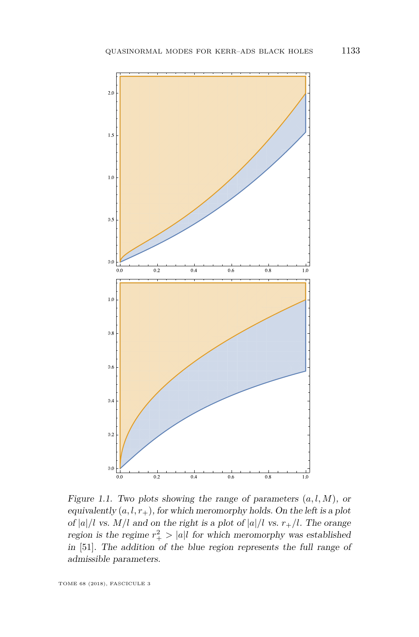

Figure 1.1. Two plots showing the range of parameters  $(a, l, M)$ , or equivalently  $(a, l, r_+)$ , for which meromorphy holds. On the left is a plot of  $|a|/l$  vs.  $M/l$  and on the right is a plot of  $|a|/l$  vs.  $r_{+}/l$ . The orange region is the regime  $r_+^2 > |a|l$  for which meromorphy was established in [\[51\]](#page-42-9). The addition of the blue region represents the full range of admissible parameters.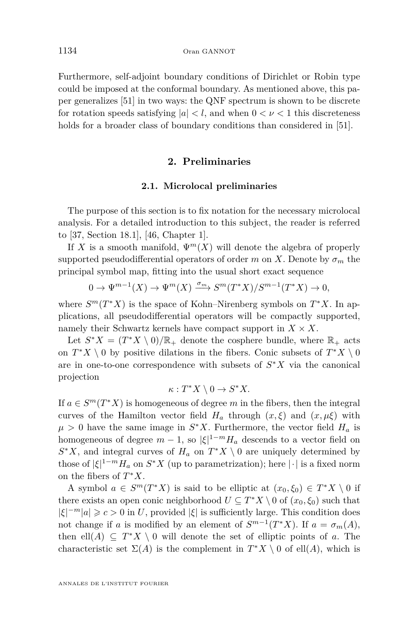Furthermore, self-adjoint boundary conditions of Dirichlet or Robin type could be imposed at the conformal boundary. As mentioned above, this paper generalizes [\[51\]](#page-42-9) in two ways: the QNF spectrum is shown to be discrete for rotation speeds satisfying  $|a| < l$ , and when  $0 < \nu < 1$  this discreteness holds for a broader class of boundary conditions than considered in [\[51\]](#page-42-9).

#### **2. Preliminaries**

#### **2.1. Microlocal preliminaries**

<span id="page-10-0"></span>The purpose of this section is to fix notation for the necessary microlocal analysis. For a detailed introduction to this subject, the reader is referred to [\[37,](#page-42-14) Section 18.1], [\[46,](#page-42-15) Chapter 1].

If *X* is a smooth manifold,  $\Psi^m(X)$  will denote the algebra of properly supported pseudodifferential operators of order *m* on *X*. Denote by  $\sigma_m$  the principal symbol map, fitting into the usual short exact sequence

$$
0 \to \Psi^{m-1}(X) \to \Psi^m(X) \xrightarrow{\sigma_m} S^m(T^*X)/S^{m-1}(T^*X) \to 0,
$$

where  $S^m(T^*X)$  is the space of Kohn–Nirenberg symbols on  $T^*X$ . In applications, all pseudodifferential operators will be compactly supported, namely their Schwartz kernels have compact support in  $X \times X$ .

Let  $S^*X = (T^*X \setminus 0)/\mathbb{R}_+$  denote the cosphere bundle, where  $\mathbb{R}_+$  acts on  $T^*X \setminus 0$  by positive dilations in the fibers. Conic subsets of  $T^*X \setminus 0$ are in one-to-one correspondence with subsets of *S* <sup>∗</sup>*X* via the canonical projection

$$
\kappa: T^*X \setminus 0 \to S^*X.
$$

If  $a \in S^m(T^*X)$  is homogeneous of degree *m* in the fibers, then the integral curves of the Hamilton vector field  $H_a$  through  $(x, \xi)$  and  $(x, \mu\xi)$  with  $\mu > 0$  have the same image in  $S^*X$ . Furthermore, the vector field  $H_a$  is homogeneous of degree  $m-1$ , so  $|\xi|^{1-m}H_a$  descends to a vector field on  $S^*X$ , and integral curves of  $H_a$  on  $T^*X \setminus 0$  are uniquely determined by those of  $|\xi|^{1-m} H_a$  on  $S^*X$  (up to parametrization); here  $|\cdot|$  is a fixed norm on the fibers of *T* <sup>∗</sup>*X*.

A symbol  $a \in S^m(T^*X)$  is said to be elliptic at  $(x_0, \xi_0) \in T^*X \setminus 0$  if there exists an open conic neighborhood  $U \subseteq T^*X \setminus 0$  of  $(x_0, \xi_0)$  such that  $|\xi|^{-m} |a| \geqslant c > 0$  in *U*, provided  $|\xi|$  is sufficiently large. This condition does not change if *a* is modified by an element of  $S^{m-1}(T^*X)$ . If  $a = \sigma_m(A)$ , then ell $(A) \subseteq T^*X \setminus 0$  will denote the set of elliptic points of *a*. The characteristic set  $\Sigma(A)$  is the complement in  $T^*X \setminus 0$  of ell $(A)$ , which is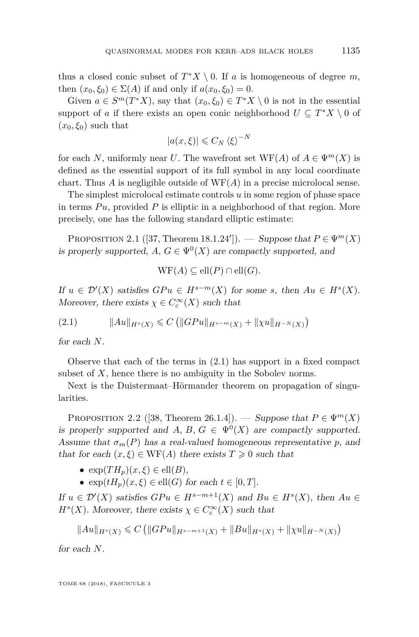thus a closed conic subset of  $T^*X \setminus 0$ . If *a* is homogeneous of degree *m*, then  $(x_0, \xi_0) \in \Sigma(A)$  if and only if  $a(x_0, \xi_0) = 0$ .

Given  $a \in S^m(T^*X)$ , say that  $(x_0, \xi_0) \in T^*X \setminus 0$  is not in the essential support of *a* if there exists an open conic neighborhood  $U \subseteq T^*X \setminus 0$  of  $(x_0, \xi_0)$  such that

$$
|a(x,\xi)| \leqslant C_N \langle \xi \rangle^{-N}
$$

for each *N*, uniformly near *U*. The wavefront set  $WF(A)$  of  $A \in \Psi^m(X)$  is defined as the essential support of its full symbol in any local coordinate chart. Thus *A* is negligible outside of WF(*A*) in a precise microlocal sense.

The simplest microlocal estimate controls *u* in some region of phase space in terms  $Pu$ , provided  $P$  is elliptic in a neighborhood of that region. More precisely, one has the following standard elliptic estimate:

<span id="page-11-1"></span>PROPOSITION 2.1 ([\[37,](#page-42-14) Theorem 18.1.24']). — Suppose that  $P \in \Psi^m(X)$ is properly supported,  $A, G \in \Psi^0(X)$  are compactly supported, and

$$
WF(A) \subseteq ell(P) \cap ell(G).
$$

If  $u \in \mathcal{D}'(X)$  satisfies  $GPu \in H^{s-m}(X)$  for some *s*, then  $Au \in H^s(X)$ . Moreover, there exists  $\chi \in C_c^{\infty}(X)$  such that

<span id="page-11-0"></span> $||Au||_{H^{s}(X)} \leq C (||GPu||_{H^{s-m}(X)} + ||\chi u||_{H^{-N}(X)})$ 

for each *N*.

Observe that each of the terms in [\(2.1\)](#page-11-0) has support in a fixed compact subset of *X*, hence there is no ambiguity in the Sobolev norms.

Next is the Duistermaat–Hörmander theorem on propagation of singularities.

PROPOSITION 2.2 ([\[38,](#page-42-16) Theorem 26.1.4]). — Suppose that  $P \in \Psi^m(X)$ is properly supported and *A*, *B*,  $G \in \Psi^0(X)$  are compactly supported. Assume that  $\sigma_m(P)$  has a real-valued homogeneous representative p, and that for each  $(x, \xi) \in WF(A)$  there exists  $T \geq 0$  such that

- $\exp(TH_p)(x,\xi) \in \text{ell}(B),$
- $\exp(tH_p)(x,\xi) \in \text{ell}(G)$  for each  $t \in [0,T].$

If  $u \in \mathcal{D}'(X)$  satisfies  $GPu \in H^{s-m+1}(X)$  and  $Bu \in H^s(X)$ , then  $Au \in$  $H^s(X)$ . Moreover, there exists  $\chi \in C_c^{\infty}(X)$  such that

$$
||Au||_{H^{s}(X)} \leq C (||GPu||_{H^{s-m+1}(X)} + ||Bu||_{H^{s}(X)} + ||\chi u||_{H^{-N}(X)})
$$

for each *N*.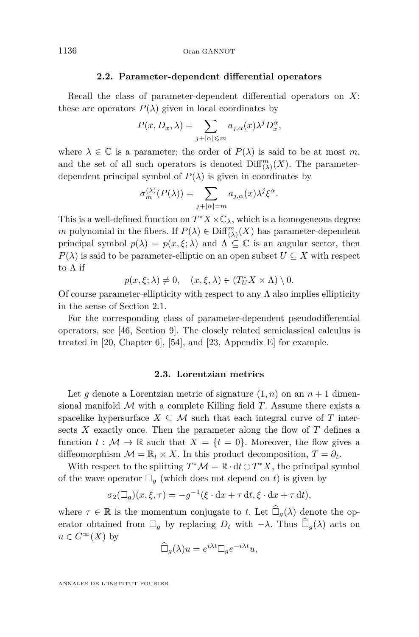#### **2.2. Parameter-dependent differential operators**

<span id="page-12-0"></span>Recall the class of parameter-dependent differential operators on *X*: these are operators  $P(\lambda)$  given in local coordinates by

$$
P(x, D_x, \lambda) = \sum_{j+|\alpha| \leqslant m} a_{j,\alpha}(x) \lambda^j D_x^{\alpha},
$$

where  $\lambda \in \mathbb{C}$  is a parameter; the order of  $P(\lambda)$  is said to be at most *m*, and the set of all such operators is denoted  $\text{Diff}^m_{(\lambda)}(X)$ . The parameterdependent principal symbol of  $P(\lambda)$  is given in coordinates by

$$
\sigma_m^{(\lambda)}(P(\lambda)) = \sum_{j+|\alpha|=m} a_{j,\alpha}(x)\lambda^j \xi^{\alpha}.
$$

This is a well-defined function on  $T^*X \times \mathbb{C}_{\lambda}$ , which is a homogeneous degree *m* polynomial in the fibers. If  $P(\lambda) \in \text{Diff}^m_{(\lambda)}(X)$  has parameter-dependent principal symbol  $p(\lambda) = p(x, \xi; \lambda)$  and  $\Lambda \subseteq \mathbb{C}$  is an angular sector, then  $P(\lambda)$  is said to be parameter-elliptic on an open subset  $U \subseteq X$  with respect to Λ if

$$
p(x,\xi;\lambda) \neq 0, \quad (x,\xi,\lambda) \in (T_U^*X \times \Lambda) \setminus 0.
$$

Of course parameter-ellipticity with respect to any  $\Lambda$  also implies ellipticity in the sense of Section [2.1.](#page-10-0)

For the corresponding class of parameter-dependent pseudodifferential operators, see [\[46,](#page-42-15) Section 9]. The closely related semiclassical calculus is treated in [\[20,](#page-41-19) Chapter 6], [\[54\]](#page-43-1), and [\[23,](#page-41-14) Appendix E] for example.

#### **2.3. Lorentzian metrics**

<span id="page-12-1"></span>Let *g* denote a Lorentzian metric of signature  $(1, n)$  on an  $n + 1$  dimensional manifold M with a complete Killing field *T*. Assume there exists a spacelike hypersurface  $X \subseteq \mathcal{M}$  such that each integral curve of *T* intersects *X* exactly once. Then the parameter along the flow of *T* defines a function  $t : \mathcal{M} \to \mathbb{R}$  such that  $X = \{t = 0\}$ . Moreover, the flow gives a diffeomorphism  $\mathcal{M} = \mathbb{R}_t \times X$ . In this product decomposition,  $T = \partial_t$ .

With respect to the splitting  $T^*\mathcal{M} = \mathbb{R} \cdot dt \oplus T^*X$ , the principal symbol of the wave operator  $\Box_q$  (which does not depend on *t*) is given by

$$
\sigma_2(\Box_g)(x,\xi,\tau) = -g^{-1}(\xi \cdot dx + \tau dt, \xi \cdot dx + \tau dt),
$$

where  $\tau \in \mathbb{R}$  is the momentum conjugate to *t*. Let  $\widehat{\Box}_{q}(\lambda)$  denote the operator obtained from  $\Box_g$  by replacing  $D_t$  with  $-\lambda$ . Thus  $\widehat{\Box}_g(\lambda)$  acts on  $u \in C^{\infty}(X)$  by

$$
\widehat{\Box}_g(\lambda)u = e^{i\lambda t} \Box_g e^{-i\lambda t}u,
$$

ANNALES DE L'INSTITUT FOURIER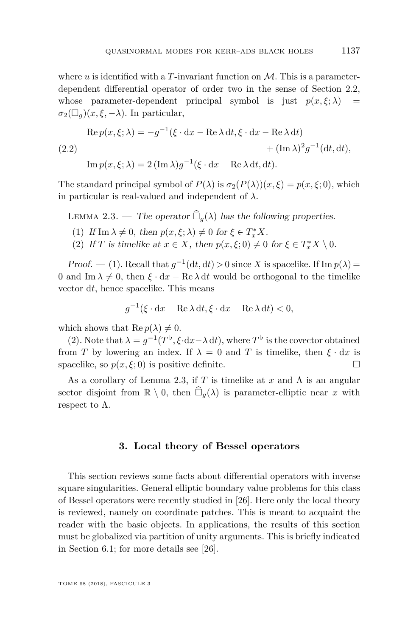where  $u$  is identified with a  $T$ -invariant function on  $\mathcal{M}$ . This is a parameterdependent differential operator of order two in the sense of Section [2.2,](#page-12-0) whose parameter-dependent principal symbol is just  $p(x,\xi;\lambda)$  =  $\sigma_2(\Box_a)(x,\xi,-\lambda)$ . In particular,

(2.2)  
\n
$$
\operatorname{Re} p(x,\xi;\lambda) = -g^{-1}(\xi \cdot dx - \operatorname{Re} \lambda dt, \xi \cdot dx - \operatorname{Re} \lambda dt) + (\operatorname{Im} \lambda)^2 g^{-1} (dt, dt),
$$
\n
$$
\operatorname{Im} p(x,\xi;\lambda) = 2 (\operatorname{Im} \lambda) g^{-1} (\xi \cdot dx - \operatorname{Re} \lambda dt, dt).
$$

The standard principal symbol of  $P(\lambda)$  is  $\sigma_2(P(\lambda))(x,\xi) = p(x,\xi;0)$ , which in particular is real-valued and independent of  $\lambda$ .

<span id="page-13-3"></span>LEMMA 2.3. — The operator  $\widehat{\Box}_{q}(\lambda)$  has the following properties.

- <span id="page-13-1"></span>(1) If  $\text{Im }\lambda \neq 0$ , then  $p(x, \xi; \lambda) \neq 0$  for  $\xi \in T_x^*X$ .
- <span id="page-13-2"></span>(2) If *T* is timelike at  $x \in X$ , then  $p(x, \xi; 0) \neq 0$  for  $\xi \in T_x^*X \setminus 0$ .

Proof. — [\(1\)](#page-13-1). Recall that  $g^{-1}(\mathrm{d}t, \mathrm{d}t) > 0$  since *X* is spacelike. If  $\mathrm{Im} p(\lambda) =$ 0 and Im  $\lambda \neq 0$ , then  $\xi \cdot dx - \text{Re }\lambda dt$  would be orthogonal to the timelike vector d*t*, hence spacelike. This means

$$
g^{-1}(\xi \cdot dx - \operatorname{Re} \lambda dt, \xi \cdot dx - \operatorname{Re} \lambda dt) < 0,
$$

which shows that  $\text{Re } p(\lambda) \neq 0$ .

[\(2\)](#page-13-2). Note that  $\lambda = g^{-1}(T^{\flat}, \xi \cdot dx - \lambda dt)$ , where  $T^{\flat}$  is the covector obtained from *T* by lowering an index. If  $\lambda = 0$  and *T* is timelike, then  $\xi \cdot dx$  is spacelike, so  $p(x, \xi; 0)$  is positive definite.

As a corollary of Lemma [2.3,](#page-13-3) if *T* is timelike at *x* and Λ is an angular sector disjoint from  $\mathbb{R} \setminus 0$ , then  $\widehat{\Box}_q(\lambda)$  is parameter-elliptic near *x* with respect to  $\Lambda$ .

#### **3. Local theory of Bessel operators**

<span id="page-13-0"></span>This section reviews some facts about differential operators with inverse square singularities. General elliptic boundary value problems for this class of Bessel operators were recently studied in [\[26\]](#page-41-9). Here only the local theory is reviewed, namely on coordinate patches. This is meant to acquaint the reader with the basic objects. In applications, the results of this section must be globalized via partition of unity arguments. This is briefly indicated in Section [6.1;](#page-28-0) for more details see [\[26\]](#page-41-9).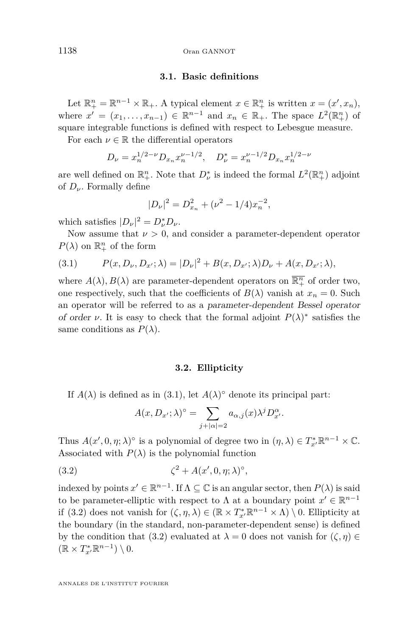<span id="page-14-2"></span>1138 Oran GANNOT

#### **3.1. Basic definitions**

Let  $\mathbb{R}^n_+ = \mathbb{R}^{n-1} \times \mathbb{R}_+$ . A typical element  $x \in \mathbb{R}^n_+$  is written  $x = (x', x_n)$ , where  $x' = (x_1, \ldots, x_{n-1}) \in \mathbb{R}^{n-1}$  and  $x_n \in \mathbb{R}_+$ . The space  $L^2(\mathbb{R}^n_+)$  of square integrable functions is defined with respect to Lebesgue measure.

For each  $\nu \in \mathbb{R}$  the differential operators

$$
D_{\nu} = x_n^{1/2 - \nu} D_{x_n} x_n^{\nu - 1/2}, \quad D_{\nu}^* = x_n^{\nu - 1/2} D_{x_n} x_n^{1/2 - \nu}
$$

are well defined on  $\mathbb{R}^n_+$ . Note that  $D^*_{\nu}$  is indeed the formal  $L^2(\mathbb{R}^n_+)$  adjoint of *Dν*. Formally define

$$
|D_{\nu}|^2 = D_{x_n}^2 + (\nu^2 - 1/4)x_n^{-2},
$$

which satisfies  $|D_{\nu}|^2 = D_{\nu}^* D_{\nu}$ .

Now assume that  $\nu > 0$ , and consider a parameter-dependent operator  $P(\lambda)$  on  $\mathbb{R}^n_+$  of the form

<span id="page-14-0"></span>(3.1) 
$$
P(x, D_{\nu}, D_{x'}; \lambda) = |D_{\nu}|^2 + B(x, D_{x'}; \lambda)D_{\nu} + A(x, D_{x'}; \lambda),
$$

where  $A(\lambda), B(\lambda)$  are parameter-dependent operators on  $\overline{\mathbb{R}^n_+}$  of order two, one respectively, such that the coefficients of  $B(\lambda)$  vanish at  $x_n = 0$ . Such an operator will be referred to as a parameter-dependent Bessel operator of order *ν*. It is easy to check that the formal adjoint  $P(\lambda)$ <sup>\*</sup> satisfies the same conditions as  $P(\lambda)$ .

#### **3.2. Ellipticity**

If  $A(\lambda)$  is defined as in [\(3.1\)](#page-14-0), let  $A(\lambda)^\circ$  denote its principal part:

<span id="page-14-1"></span>
$$
A(x, D_{x'}; \lambda)^{\circ} = \sum_{j+|\alpha|=2} a_{\alpha,j}(x) \lambda^{j} D_{x'}^{\alpha}.
$$

Thus  $A(x', 0, \eta; \lambda)$ <sup>°</sup> is a polynomial of degree two in  $(\eta, \lambda) \in T_{x'}^* \mathbb{R}^{n-1} \times \mathbb{C}$ . Associated with  $P(\lambda)$  is the polynomial function

$$
(3.2) \qquad \zeta^2 + A(x', 0, \eta; \lambda)^\circ,
$$

indexed by points  $x' \in \mathbb{R}^{n-1}$ . If  $\Lambda \subseteq \mathbb{C}$  is an angular sector, then  $P(\lambda)$  is said to be parameter-elliptic with respect to  $\Lambda$  at a boundary point  $x' \in \mathbb{R}^{n-1}$ if [\(3.2\)](#page-14-1) does not vanish for  $(\zeta, \eta, \lambda) \in (\mathbb{R} \times T^*_{x'} \mathbb{R}^{n-1} \times \Lambda) \setminus 0$ . Ellipticity at the boundary (in the standard, non-parameter-dependent sense) is defined by the condition that [\(3.2\)](#page-14-1) evaluated at  $\lambda = 0$  does not vanish for  $(\zeta, \eta) \in$  $(\mathbb{R} \times T^*_{x'} \mathbb{R}^{n-1}) \setminus 0.$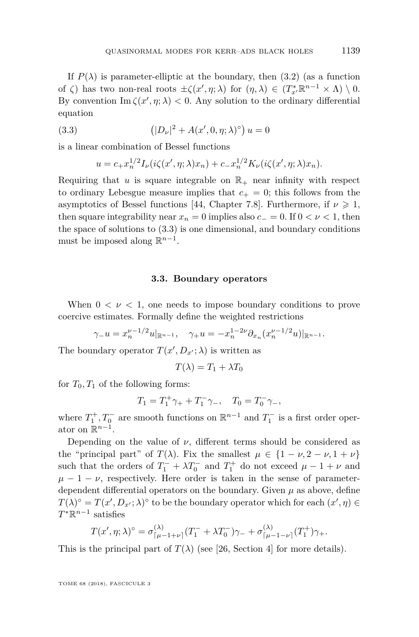If  $P(\lambda)$  is parameter-elliptic at the boundary, then [\(3.2\)](#page-14-1) (as a function of *ζ*) has two non-real roots  $\pm \zeta(x', \eta; \lambda)$  for  $(\eta, \lambda) \in (T^*_{x'} \mathbb{R}^{n-1} \times \Lambda) \setminus 0$ . By convention  $\text{Im }\zeta(x',\eta;\lambda) < 0$ . Any solution to the ordinary differential equation

(3.3) 
$$
(|D_{\nu}|^2 + A(x', 0, \eta; \lambda)^{\circ}) u = 0
$$

is a linear combination of Bessel functions

<span id="page-15-1"></span>
$$
u = c_{+}x_{n}^{1/2}I_{\nu}(i\zeta(x',\eta;\lambda)x_{n}) + c_{-}x_{n}^{1/2}K_{\nu}(i\zeta(x',\eta;\lambda)x_{n}).
$$

Requiring that  $u$  is square integrable on  $\mathbb{R}_+$  near infinity with respect to ordinary Lebesgue measure implies that  $c_{+} = 0$ ; this follows from the asymptotics of Bessel functions [\[44,](#page-42-17) Chapter 7.8]. Furthermore, if  $\nu \geq 1$ , then square integrability near  $x_n = 0$  implies also  $c_ - = 0$ . If  $0 < \nu < 1$ , then the space of solutions to [\(3.3\)](#page-15-1) is one dimensional, and boundary conditions must be imposed along  $\mathbb{R}^{n-1}$ .

#### **3.3. Boundary operators**

<span id="page-15-0"></span>When  $0 < \nu < 1$ , one needs to impose boundary conditions to prove coercive estimates. Formally define the weighted restrictions

$$
\gamma_{-}u = x_n^{\nu - 1/2} u|_{\mathbb{R}^{n-1}}, \quad \gamma_{+}u = -x_n^{1-2\nu} \partial_{x_n} (x_n^{\nu - 1/2} u)|_{\mathbb{R}^{n-1}}.
$$

The boundary operator  $T(x', D_{x'}; \lambda)$  is written as

$$
T(\lambda) = T_1 + \lambda T_0
$$

for  $T_0, T_1$  of the following forms:

$$
T_1 = T_1^+ \gamma_+ + T_1^- \gamma_-, \quad T_0 = T_0^- \gamma_-,
$$

where  $T_1^+, T_0^-$  are smooth functions on  $\mathbb{R}^{n-1}$  and  $T_1^-$  is a first order operator on  $\mathbb{R}^{n-1}$ .

Depending on the value of  $\nu$ , different terms should be considered as the "principal part" of  $T(\lambda)$ . Fix the smallest  $\mu \in \{1 - \nu, 2 - \nu, 1 + \nu\}$ such that the orders of  $T_1^- + \lambda T_0^-$  and  $T_1^+$  do not exceed  $\mu - 1 + \nu$  and  $\mu - 1 - \nu$ , respectively. Here order is taken in the sense of parameterdependent differential operators on the boundary. Given  $\mu$  as above, define  $T(\lambda)^\circ = T(x', D_{x'}; \lambda)^\circ$  to be the boundary operator which for each  $(x', \eta) \in$ *T* <sup>∗</sup>R *n*−1 satisfies

$$
T(x', \eta; \lambda)^{\circ} = \sigma_{\lceil \mu - 1 + \nu \rceil}^{(\lambda)} (T_1^- + \lambda T_0^-) \gamma_- + \sigma_{\lceil \mu - 1 - \nu \rceil}^{(\lambda)} (T_1^+) \gamma_+.
$$

This is the principal part of  $T(\lambda)$  (see [\[26,](#page-41-9) Section 4] for more details).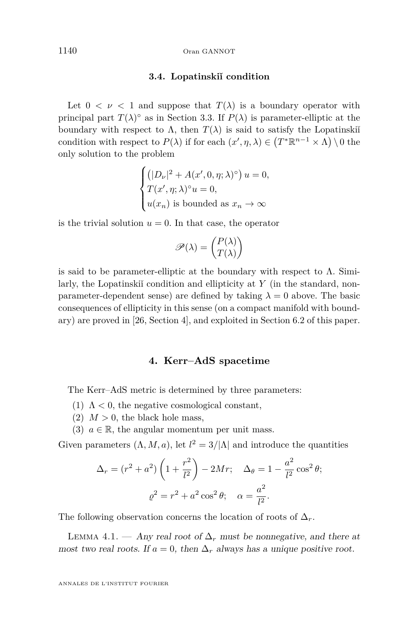#### <span id="page-16-1"></span>1140 Oran GANNOT

#### **3.4. Lopatinskiˇı condition**

Let  $0 < \nu < 1$  and suppose that  $T(\lambda)$  is a boundary operator with principal part  $T(\lambda)$ <sup>°</sup> as in Section [3.3.](#page-15-0) If  $P(\lambda)$  is parameter-elliptic at the boundary with respect to  $\Lambda$ , then  $T(\lambda)$  is said to satisfy the Lopatinski<sup>i</sup> condition with respect to  $P(\lambda)$  if for each  $(x', \eta, \lambda) \in (T^*\mathbb{R}^{n-1} \times \Lambda) \setminus 0$  the only solution to the problem

$$
\begin{cases}\n\left(|D_{\nu}|^2 + A(x', 0, \eta; \lambda)^{\circ}\right) u = 0, \\
T(x', \eta; \lambda)^{\circ} u = 0, \\
u(x_n) \text{ is bounded as } x_n \to \infty\n\end{cases}
$$

is the trivial solution  $u = 0$ . In that case, the operator

$$
\mathscr{P}(\lambda) = \begin{pmatrix} P(\lambda) \\ T(\lambda) \end{pmatrix}
$$

is said to be parameter-elliptic at the boundary with respect to  $\Lambda$ . Similarly, the Lopatinskii´ condition and ellipticity at *Y* (in the standard, nonparameter-dependent sense) are defined by taking  $\lambda = 0$  above. The basic consequences of ellipticity in this sense (on a compact manifold with boundary) are proved in [\[26,](#page-41-9) Section 4], and exploited in Section [6.2](#page-29-0) of this paper.

#### **4. Kerr–AdS spacetime**

<span id="page-16-0"></span>The Kerr–AdS metric is determined by three parameters:

- (1)  $\Lambda$  < 0, the negative cosmological constant,
- (2)  $M > 0$ , the black hole mass,
- (3)  $a \in \mathbb{R}$ , the angular momentum per unit mass.

Given parameters  $(\Lambda, M, a)$ , let  $l^2 = 3/|\Lambda|$  and introduce the quantities

$$
\Delta_r = (r^2 + a^2) \left( 1 + \frac{r^2}{l^2} \right) - 2Mr; \quad \Delta_\theta = 1 - \frac{a^2}{l^2} \cos^2 \theta; \rho^2 = r^2 + a^2 \cos^2 \theta; \quad \alpha = \frac{a^2}{l^2}.
$$

The following observation concerns the location of roots of  $\Delta_r$ .

LEMMA 4.1. — Any real root of  $\Delta_r$  must be nonnegative, and there at most two real roots. If  $a = 0$ , then  $\Delta_r$  always has a unique positive root.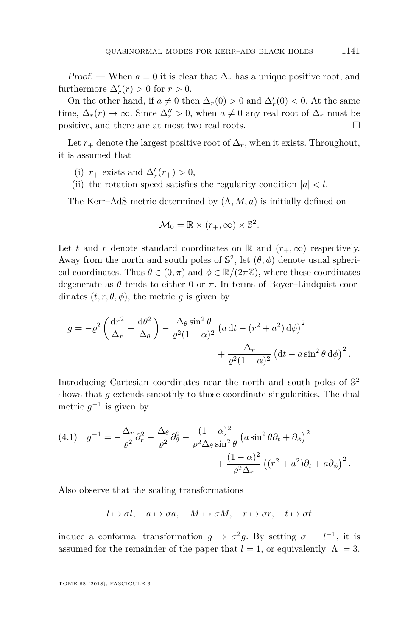Proof. — When  $a = 0$  it is clear that  $\Delta_r$  has a unique positive root, and furthermore  $\Delta'_r(r) > 0$  for  $r > 0$ .

On the other hand, if  $a \neq 0$  then  $\Delta_r(0) > 0$  and  $\Delta'_r(0) < 0$ . At the same time,  $\Delta_r(r) \to \infty$ . Since  $\Delta_r'' > 0$ , when  $a \neq 0$  any real root of  $\Delta_r$  must be positive, and there are at most two real roots.

Let  $r_{+}$  denote the largest positive root of  $\Delta_r$ , when it exists. Throughout, it is assumed that

- (i)  $r_+$  exists and  $\Delta'_r(r_+) > 0$ ,
- (ii) the rotation speed satisfies the regularity condition  $|a| < l$ .

The Kerr–AdS metric determined by (Λ*, M, a*) is initially defined on

$$
\mathcal{M}_0 = \mathbb{R} \times (r_+, \infty) \times \mathbb{S}^2.
$$

Let *t* and *r* denote standard coordinates on R and  $(r_{+}, \infty)$  respectively. Away from the north and south poles of  $\mathbb{S}^2$ , let  $(\theta, \phi)$  denote usual spherical coordinates. Thus  $\theta \in (0, \pi)$  and  $\phi \in \mathbb{R}/(2\pi\mathbb{Z})$ , where these coordinates degenerate as  $\theta$  tends to either 0 or  $\pi$ . In terms of Boyer–Lindquist coordinates  $(t, r, \theta, \phi)$ , the metric *g* is given by

$$
g = -\varrho^2 \left( \frac{\mathrm{d}r^2}{\Delta_r} + \frac{\mathrm{d}\theta^2}{\Delta_\theta} \right) - \frac{\Delta_\theta \sin^2 \theta}{\varrho^2 (1-\alpha)^2} \left( a \, \mathrm{d}t - \left( r^2 + a^2 \right) \mathrm{d}\phi \right)^2 + \frac{\Delta_r}{\varrho^2 (1-\alpha)^2} \left( \mathrm{d}t - a \sin^2 \theta \, \mathrm{d}\phi \right)^2.
$$

Introducing Cartesian coordinates near the north and south poles of  $\mathbb{S}^2$ shows that *g* extends smoothly to those coordinate singularities. The dual metric  $g^{-1}$  is given by

<span id="page-17-0"></span>(4.1) 
$$
g^{-1} = -\frac{\Delta_r}{\varrho^2} \partial_r^2 - \frac{\Delta_\theta}{\varrho^2} \partial_\theta^2 - \frac{(1-\alpha)^2}{\varrho^2 \Delta_\theta \sin^2 \theta} \left( a \sin^2 \theta \partial_t + \partial_\phi \right)^2 + \frac{(1-\alpha)^2}{\varrho^2 \Delta_r} \left( (r^2 + a^2) \partial_t + a \partial_\phi \right)^2.
$$

Also observe that the scaling transformations

 $l \mapsto \sigma l$ ,  $a \mapsto \sigma a$ ,  $M \mapsto \sigma M$ ,  $r \mapsto \sigma r$ ,  $t \mapsto \sigma t$ 

induce a conformal transformation  $g \mapsto \sigma^2 g$ . By setting  $\sigma = l^{-1}$ , it is assumed for the remainder of the paper that  $l = 1$ , or equivalently  $|\Lambda| = 3$ .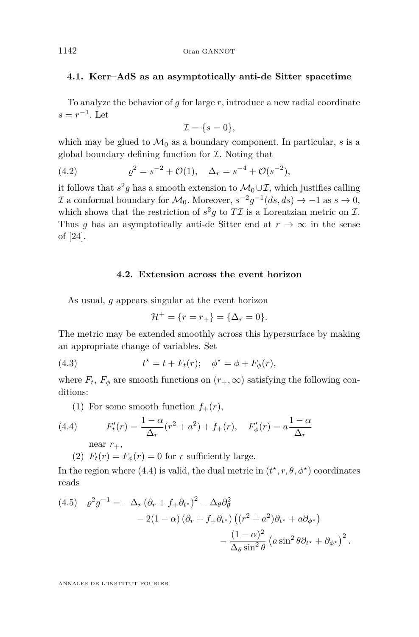#### **4.1. Kerr–AdS as an asymptotically anti-de Sitter spacetime**

To analyze the behavior of *g* for large *r*, introduce a new radial coordinate  $s = r^{-1}$ . Let

<span id="page-18-3"></span>
$$
\mathcal{I} = \{s = 0\},\
$$

which may be glued to  $\mathcal{M}_0$  as a boundary component. In particular, *s* is a global boundary defining function for  $\mathcal I$ . Noting that

(4.2) 
$$
\varrho^2 = s^{-2} + \mathcal{O}(1), \quad \Delta_r = s^{-4} + \mathcal{O}(s^{-2}),
$$

it follows that  $s^2g$  has a smooth extension to  $\mathcal{M}_0 \cup \mathcal{I}$ , which justifies calling *I* a conformal boundary for  $M_0$ . Moreover,  $s^{-2}g^{-1}(ds, ds) \to -1$  as  $s \to 0$ , which shows that the restriction of  $s^2g$  to  $T\mathcal{I}$  is a Lorentzian metric on  $\mathcal{I}$ . Thus *g* has an asymptotically anti-de Sitter end at  $r \to \infty$  in the sense of [\[24\]](#page-41-20).

#### **4.2. Extension across the event horizon**

<span id="page-18-2"></span>As usual, *g* appears singular at the event horizon

$$
\mathcal{H}^+ = \{r = r_+\} = \{\Delta_r = 0\}.
$$

The metric may be extended smoothly across this hypersurface by making an appropriate change of variables. Set

(4.3) 
$$
t^* = t + F_t(r); \quad \phi^* = \phi + F_\phi(r),
$$

where  $F_t$ ,  $F_\phi$  are smooth functions on  $(r_+,\infty)$  satisfying the following conditions:

(1) For some smooth function  $f_+(r)$ ,

(4.4) 
$$
F'_t(r) = \frac{1-\alpha}{\Delta_r}(r^2 + a^2) + f_+(r), \quad F'_\phi(r) = a\frac{1-\alpha}{\Delta_r}
$$

<span id="page-18-0"></span>near  $r_{+}$ ,

(2)  $F_t(r) = F_\phi(r) = 0$  for *r* sufficiently large.

In the region where [\(4.4\)](#page-18-0) is valid, the dual metric in  $(t^*, r, \theta, \phi^*)$  coordinates reads

<span id="page-18-1"></span>(4.5) 
$$
\varrho^2 g^{-1} = -\Delta_r (\partial_r + f_+ \partial_{t^*})^2 - \Delta_\theta \partial_\theta^2
$$

$$
- 2(1 - \alpha) (\partial_r + f_+ \partial_{t^*}) ((r^2 + a^2) \partial_{t^*} + a \partial_{\phi^*})
$$

$$
- \frac{(1 - \alpha)^2}{\Delta_\theta \sin^2 \theta} (a \sin^2 \theta \partial_{t^*} + \partial_{\phi^*})^2.
$$

ANNALES DE L'INSTITUT FOURIER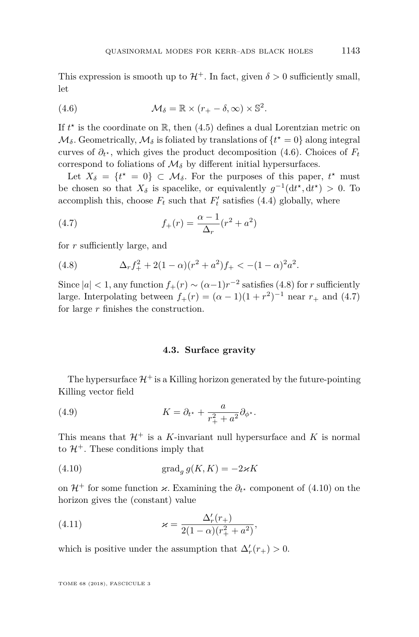This expression is smooth up to  $\mathcal{H}^+$ . In fact, given  $\delta > 0$  sufficiently small, let

<span id="page-19-0"></span>(4.6) 
$$
\mathcal{M}_{\delta} = \mathbb{R} \times (r_{+} - \delta, \infty) \times \mathbb{S}^{2}.
$$

If  $t^*$  is the coordinate on  $\mathbb{R}$ , then [\(4.5\)](#page-18-1) defines a dual Lorentzian metric on  $\mathcal{M}_{\delta}$ . Geometrically,  $\mathcal{M}_{\delta}$  is foliated by translations of  $\{t^* = 0\}$  along integral curves of  $\partial_t$ <sup>\*</sup>, which gives the product decomposition [\(4.6\)](#page-19-0). Choices of  $F_t$ correspond to foliations of  $\mathcal{M}_{\delta}$  by different initial hypersurfaces.

Let  $X_{\delta} = \{t^* = 0\} \subset \mathcal{M}_{\delta}$ . For the purposes of this paper,  $t^*$  must be chosen so that  $X_{\delta}$  is spacelike, or equivalently  $g^{-1}(\mathrm{d}t^{\star}, \mathrm{d}t^{\star}) > 0$ . To accomplish this, choose  $F_t$  such that  $F'_t$  satisfies [\(4.4\)](#page-18-0) globally, where

<span id="page-19-2"></span>(4.7) 
$$
f_{+}(r) = \frac{\alpha - 1}{\Delta_{r}}(r^{2} + a^{2})
$$

for *r* sufficiently large, and

<span id="page-19-1"></span>(4.8) 
$$
\Delta_r f_+^2 + 2(1-\alpha)(r^2 + a^2)f_+ < -(1-\alpha)^2 a^2.
$$

Since  $|a| < 1$ , any function  $f_+(r) \sim (\alpha - 1)r^{-2}$  satisfies [\(4.8\)](#page-19-1) for *r* sufficiently large. Interpolating between  $f_{+}(r) = (\alpha - 1)(1 + r^{2})^{-1}$  near  $r_{+}$  and [\(4.7\)](#page-19-2) for large *r* finishes the construction.

#### <span id="page-19-4"></span>**4.3. Surface gravity**

The hypersurface  $\mathcal{H}^+$  is a Killing horizon generated by the future-pointing Killing vector field

(4.9) 
$$
K = \partial_{t^*} + \frac{a}{r_+^2 + a^2} \partial_{\phi^*}.
$$

This means that  $\mathcal{H}^+$  is a *K*-invariant null hypersurface and *K* is normal to  $\mathcal{H}^+$ . These conditions imply that

<span id="page-19-3"></span>(4.10) 
$$
\operatorname{grad}_g g(K,K) = -2\varkappa K
$$

on  $\mathcal{H}^+$  for some function  $\varkappa$ . Examining the  $\partial_{t^*}$  component of [\(4.10\)](#page-19-3) on the horizon gives the (constant) value

(4.11) 
$$
\varkappa = \frac{\Delta'_r(r_+)}{2(1-\alpha)(r_+^2 + a^2)},
$$

which is positive under the assumption that  $\Delta'_r(r_+) > 0$ .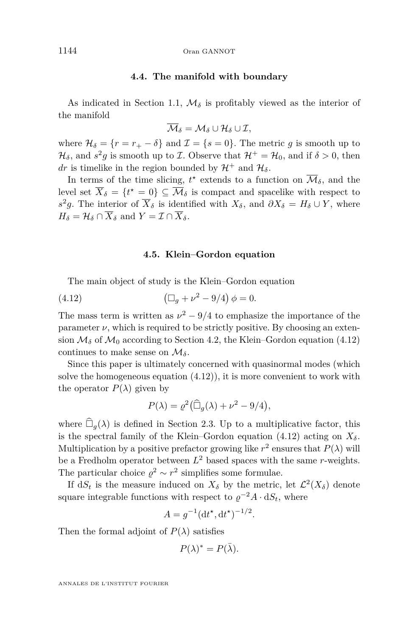#### **4.4. The manifold with boundary**

As indicated in Section [1.1,](#page-4-0)  $\mathcal{M}_{\delta}$  is profitably viewed as the interior of the manifold

$$
\overline{\mathcal{M}}_\delta=\mathcal{M}_\delta\cup\mathcal{H}_\delta\cup\mathcal{I},
$$

where  $\mathcal{H}_{\delta} = \{r = r_+ - \delta\}$  and  $\mathcal{I} = \{s = 0\}$ . The metric g is smooth up to  $\mathcal{H}_{\delta}$ , and  $s^2g$  is smooth up to *I*. Observe that  $\mathcal{H}^+ = \mathcal{H}_0$ , and if  $\delta > 0$ , then *dr* is timelike in the region bounded by  $\mathcal{H}^+$  and  $\mathcal{H}_\delta$ .

In terms of the time slicing,  $t^*$  extends to a function on  $\overline{\mathcal{M}}_{\delta}$ , and the level set  $\overline{X}_{\delta} = \{t^* = 0\} \subseteq \overline{\mathcal{M}}_{\delta}$  is compact and spacelike with respect to  $s^2 g$ . The interior of  $\overline{X}_\delta$  is identified with  $X_\delta$ , and  $\partial X_\delta = H_\delta \cup Y$ , where  $H_{\delta} = \mathcal{H}_{\delta} \cap \overline{X}_{\delta}$  and  $Y = \mathcal{I} \cap \overline{X}_{\delta}$ .

#### <span id="page-20-0"></span>**4.5. Klein–Gordon equation**

<span id="page-20-1"></span>The main object of study is the Klein–Gordon equation

(4.12) 
$$
(\Box_g + \nu^2 - 9/4) \phi = 0.
$$

The mass term is written as  $\nu^2 - 9/4$  to emphasize the importance of the parameter  $\nu$ , which is required to be strictly positive. By choosing an extension  $\mathcal{M}_{\delta}$  of  $\mathcal{M}_0$  according to Section [4.2,](#page-18-2) the Klein–Gordon equation [\(4.12\)](#page-20-0) continues to make sense on  $\mathcal{M}_{\delta}$ .

Since this paper is ultimately concerned with quasinormal modes (which solve the homogeneous equation  $(4.12)$ , it is more convenient to work with the operator  $P(\lambda)$  given by

$$
P(\lambda) = \varrho^2 (\widehat{\Box}_g(\lambda) + \nu^2 - 9/4),
$$

where  $\widehat{\Box}_{a}(\lambda)$  is defined in Section [2.3.](#page-12-1) Up to a multiplicative factor, this is the spectral family of the Klein–Gordon equation [\(4.12\)](#page-20-0) acting on  $X_{\delta}$ . Multiplication by a positive prefactor growing like  $r^2$  ensures that  $P(\lambda)$  will be a Fredholm operator between  $L^2$  based spaces with the same *r*-weights. The particular choice  $\rho^2 \sim r^2$  simplifies some formulae.

If  $dS_t$  is the measure induced on  $X_{\delta}$  by the metric, let  $\mathcal{L}^2(X_{\delta})$  denote square integrable functions with respect to  $\varrho^{-2}A \cdot dS_t$ , where

$$
A = g^{-1} (\mathrm{d}t^*, \mathrm{d}t^*)^{-1/2}.
$$

Then the formal adjoint of  $P(\lambda)$  satisfies

$$
P(\lambda)^* = P(\bar{\lambda}).
$$

ANNALES DE L'INSTITUT FOURIER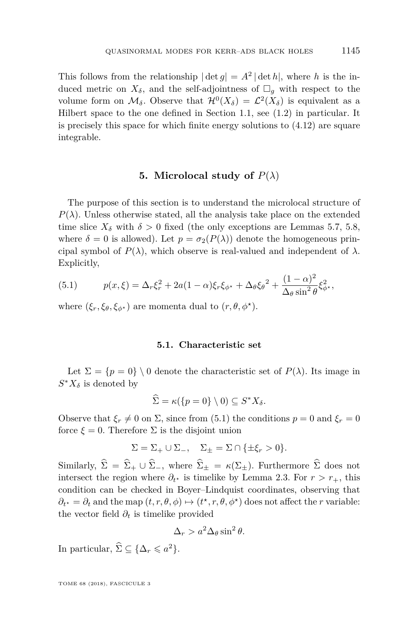This follows from the relationship  $|\det g| = A^2 |\det h|$ , where *h* is the induced metric on  $X_{\delta}$ , and the self-adjointness of  $\Box_{g}$  with respect to the volume form on  $\mathcal{M}_{\delta}$ . Observe that  $\mathcal{H}^{0}(X_{\delta}) = \mathcal{L}^{2}(X_{\delta})$  is equivalent as a Hilbert space to the one defined in Section [1.1,](#page-4-0) see [\(1.2\)](#page-4-1) in particular. It is precisely this space for which finite energy solutions to [\(4.12\)](#page-20-0) are square integrable.

#### **5.** Microlocal study of  $P(\lambda)$

The purpose of this section is to understand the microlocal structure of  $P(\lambda)$ . Unless otherwise stated, all the analysis take place on the extended time slice  $X_{\delta}$  with  $\delta > 0$  fixed (the only exceptions are Lemmas [5.7,](#page-27-0) [5.8,](#page-27-1) where  $\delta = 0$  is allowed). Let  $p = \sigma_2(P(\lambda))$  denote the homogeneous principal symbol of  $P(\lambda)$ , which observe is real-valued and independent of  $\lambda$ . Explicitly,

<span id="page-21-0"></span>(5.1) 
$$
p(x,\xi) = \Delta_r \xi_r^2 + 2a(1-\alpha)\xi_r \xi_{\phi^*} + \Delta_\theta \xi_{\theta}^2 + \frac{(1-\alpha)^2}{\Delta_\theta \sin^2 \theta} \xi_{\phi^*}^2,
$$

where  $(\xi_r, \xi_\theta, \xi_{\phi^*})$  are momenta dual to  $(r, \theta, \phi^*)$ .

#### **5.1. Characteristic set**

Let  $\Sigma = \{p = 0\} \setminus 0$  denote the characteristic set of  $P(\lambda)$ . Its image in  $S^*X_\delta$  is denoted by

$$
\widehat{\Sigma} = \kappa(\{p = 0\} \setminus 0) \subseteq S^*X_{\delta}.
$$

Observe that  $\xi_r \neq 0$  on  $\Sigma$ , since from [\(5.1\)](#page-21-0) the conditions  $p = 0$  and  $\xi_r = 0$ force  $\xi = 0$ . Therefore  $\Sigma$  is the disjoint union

$$
\Sigma = \Sigma_+ \cup \Sigma_-, \quad \Sigma_{\pm} = \Sigma \cap {\{\pm \xi_r > 0\}}.
$$

Similarly,  $\hat{\Sigma} = \hat{\Sigma}_+ \cup \hat{\Sigma}_-,$  where  $\hat{\Sigma}_\pm = \kappa(\Sigma_\pm)$ . Furthermore  $\hat{\Sigma}$  does not intersect the region where  $\partial_t$ <sup>\*</sup> is timelike by Lemma [2.3.](#page-13-3) For  $r > r_+$ , this condition can be checked in Boyer–Lindquist coordinates, observing that  $\partial_t^* = \partial_t$  and the map  $(t, r, \theta, \phi) \mapsto (t^*, r, \theta, \phi^*)$  does not affect the *r* variable: the vector field  $\partial_t$  is timelike provided

$$
\Delta_r > a^2 \Delta_\theta \sin^2 \theta.
$$

In particular,  $\widehat{\Sigma} \subseteq {\{\Delta_r \leq a^2\}}$ .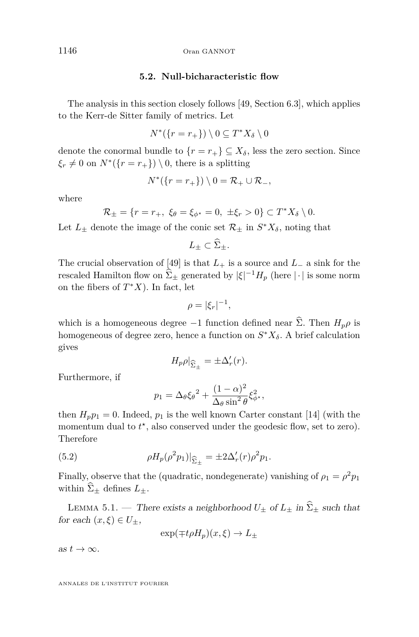#### **5.2. Null-bicharacteristic flow**

The analysis in this section closely follows [\[49,](#page-42-0) Section 6.3], which applies to the Kerr-de Sitter family of metrics. Let

$$
N^*(\{r=r_+\})\setminus 0\subseteq T^*X_\delta\setminus 0
$$

denote the conormal bundle to  $\{r = r_+\} \subseteq X_\delta$ , less the zero section. Since  $\xi_r \neq 0$  on  $N^*(\{r = r_+\}) \setminus 0$ , there is a splitting

$$
N^*(\{r=r_+\})\setminus 0=\mathcal{R}_+\cup \mathcal{R}_-,
$$

where

$$
\mathcal{R}_{\pm} = \{ r = r_+, \ \xi_{\theta} = \xi_{\phi^*} = 0, \ \pm \xi_r > 0 \} \subset T^* X_{\delta} \setminus 0.
$$

Let  $L_{\pm}$  denote the image of the conic set  $\mathcal{R}_{\pm}$  in  $S^*X_{\delta}$ , noting that

$$
L_{\pm} \subset \Sigma_{\pm}.
$$

The crucial observation of [\[49\]](#page-42-0) is that  $L_+$  is a source and  $L_-$  a sink for the rescaled Hamilton flow on  $\hat{\Sigma}_{\pm}$  generated by  $|\xi|^{-1}H_p$  (here  $|\cdot|$  is some norm on the fibers of  $T^*X$ ). In fact, let

$$
\rho = |\xi_r|^{-1},
$$

which is a homogeneous degree  $-1$  function defined near  $\hat{\Sigma}$ . Then  $H_p \rho$  is homogeneous of degree zero, hence a function on *S* <sup>∗</sup>*Xδ*. A brief calculation gives

$$
H_p \rho|_{\widehat{\Sigma}_{\pm}} = \pm \Delta'_r(r).
$$

Furthermore, if

<span id="page-22-0"></span>
$$
p_1 = \Delta_\theta \xi_\theta^2 + \frac{(1-\alpha)^2}{\Delta_\theta \sin^2 \theta} \xi_{\phi^*}^2,
$$

then  $H_p p_1 = 0$ . Indeed,  $p_1$  is the well known Carter constant [\[14\]](#page-41-21) (with the momentum dual to  $t^*$ , also conserved under the geodesic flow, set to zero). Therefore

(5.2) 
$$
\rho H_p(\rho^2 p_1)|_{\hat{\Sigma}_{\pm}} = \pm 2\Delta'_r(r)\rho^2 p_1.
$$

Finally, observe that the (quadratic, nondegenerate) vanishing of  $\rho_1 = \rho^2 p_1$ within  $\widehat{\Sigma}_{\pm}$  defines  $L_{\pm}$ .

<span id="page-22-1"></span>LEMMA 5.1. — There exists a neighborhood  $U_{\pm}$  of  $L_{\pm}$  in  $\widehat{\Sigma}_{\pm}$  such that for each  $(x,\xi) \in U_{\pm}$ ,

$$
\exp(\mp t\rho H_p)(x,\xi) \to L_{\pm}
$$

as  $t \to \infty$ .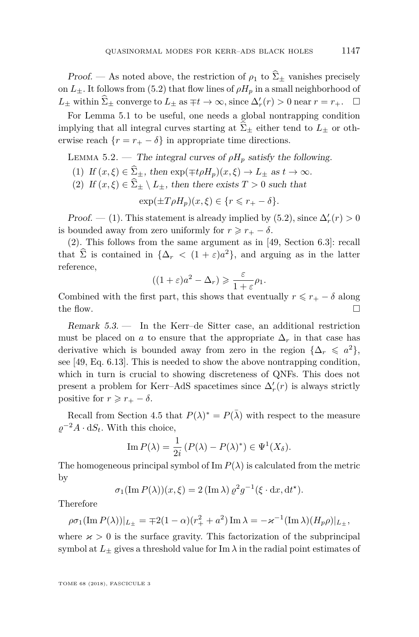*Proof.* — As noted above, the restriction of  $\rho_1$  to  $\hat{\Sigma}_{\pm}$  vanishes precisely on  $L_{+}$ . It follows from [\(5.2\)](#page-22-0) that flow lines of  $\rho H_p$  in a small neighborhood of *L*<sub>±</sub> within  $\hat{\Sigma}_{\pm}$  converge to  $L_{\pm}$  as  $\mp t \to \infty$ , since  $\Delta'_r(r) > 0$  near  $r = r_+$ .  $\Box$ 

For Lemma [5.1](#page-22-1) to be useful, one needs a global nontrapping condition implying that all integral curves starting at  $\widehat{\Sigma}_{\pm}$  either tend to  $L_{\pm}$  or otherwise reach  $\{r = r_+ - \delta\}$  in appropriate time directions.

<span id="page-23-2"></span>LEMMA 5.2. — The integral curves of  $\rho H_p$  satisfy the following.

- <span id="page-23-0"></span>(1) If  $(x,\xi) \in \widehat{\Sigma}_+$ , then  $\exp(\mp t\rho H_p)(x,\xi) \to L_+$  as  $t \to \infty$ .
- <span id="page-23-1"></span>(2) If  $(x,\xi) \in \widehat{\Sigma}_{\pm} \setminus L_{\pm}$ , then there exists  $T > 0$  such that

$$
\exp(\pm T\rho H_p)(x,\xi) \in \{r \leq r_+ - \delta\}.
$$

*Proof.* — [\(1\)](#page-23-0). This statement is already implied by [\(5.2\)](#page-22-0), since  $\Delta'_r(r) > 0$ is bounded away from zero uniformly for  $r \geq r_+ - \delta$ .

[\(2\)](#page-23-1). This follows from the same argument as in [\[49,](#page-42-0) Section 6.3]: recall that  $\sum$  is contained in  $\{\Delta_r \, \langle\, (1+\varepsilon)a^2\},\$  and arguing as in the latter reference,

$$
((1+\varepsilon)a^2 - \Delta_r) \geqslant \frac{\varepsilon}{1+\varepsilon}\rho_1.
$$

Combined with the first part, this shows that eventually  $r \leq r_+ - \delta$  along the flow.  $\Box$ 

Remark 5.3. — In the Kerr–de Sitter case, an additional restriction must be placed on *a* to ensure that the appropriate  $\Delta_r$  in that case has derivative which is bounded away from zero in the region  $\{\Delta_r \leq a^2\}$ , see [\[49,](#page-42-0) Eq. 6.13]. This is needed to show the above nontrapping condition, which in turn is crucial to showing discreteness of QNFs. This does not present a problem for Kerr–AdS spacetimes since  $\Delta'_r(r)$  is always strictly positive for  $r \geq r_+ - \delta$ .

Recall from Section [4.5](#page-20-1) that  $P(\lambda)^* = P(\overline{\lambda})$  with respect to the measure  $\varrho^{-2}A \cdot dS_t$ . With this choice,

Im 
$$
P(\lambda) = \frac{1}{2i} (P(\lambda) - P(\lambda)^*) \in \Psi^1(X_{\delta}).
$$

The homogeneous principal symbol of  $\text{Im } P(\lambda)$  is calculated from the metric by

$$
\sigma_1(\operatorname{Im} P(\lambda))(x,\xi) = 2(\operatorname{Im} \lambda) \varrho^2 g^{-1}(\xi \cdot dx, dt^*).
$$

Therefore

$$
\rho \sigma_1(\text{Im } P(\lambda))|_{L_{\pm}} = \mp 2(1 - \alpha)(r_+^2 + a^2) \text{Im } \lambda = -\varkappa^{-1}(\text{Im } \lambda)(H_p \rho)|_{L_{\pm}},
$$

where  $\varkappa > 0$  is the surface gravity. This factorization of the subprincipal symbol at  $L_{\pm}$  gives a threshold value for Im  $\lambda$  in the radial point estimates of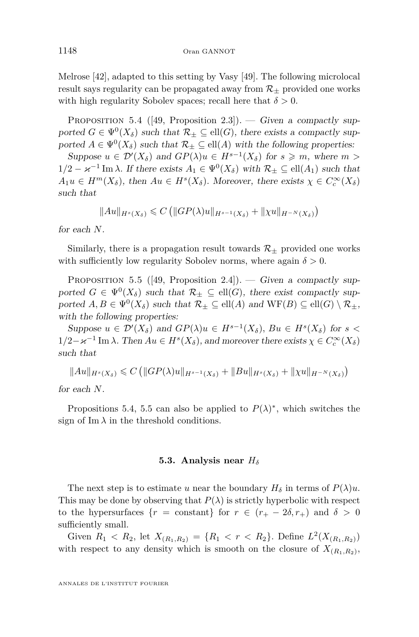Melrose [\[42\]](#page-42-18), adapted to this setting by Vasy [\[49\]](#page-42-0). The following microlocal result says regularity can be propagated away from  $\mathcal{R}_+$  provided one works with high regularity Sobolev spaces; recall here that  $\delta > 0$ .

<span id="page-24-0"></span>PROPOSITION 5.4 ([\[49,](#page-42-0) Proposition 2.3]). — Given a compactly supported  $G \in \Psi^0(X_\delta)$  such that  $\mathcal{R}_\pm \subseteq \text{ell}(G)$ , there exists a compactly supported  $A \in \Psi^0(X_\delta)$  such that  $\mathcal{R}_\pm \subseteq \text{ell}(A)$  with the following properties:

Suppose  $u \in \mathcal{D}'(X_{\delta})$  and  $GP(\lambda)u \in H^{s-1}(X_{\delta})$  for  $s \geq m$ , where  $m >$  $1/2 - \varkappa^{-1}$  Im  $\lambda$ . If there exists  $A_1 \in \Psi^0(X_\delta)$  with  $\mathcal{R}_\pm \subseteq \text{ell}(A_1)$  such that  $A_1u \in H^m(X_\delta)$ , then  $Au \in H^s(X_\delta)$ . Moreover, there exists  $\chi \in C_c^\infty(X_\delta)$ such that

$$
||Au||_{H^{s}(X_{\delta})} \leq C (||GP(\lambda)u||_{H^{s-1}(X_{\delta})} + ||\chi u||_{H^{-N}(X_{\delta})})
$$

for each *N*.

Similarly, there is a propagation result towards  $\mathcal{R}_{\pm}$  provided one works with sufficiently low regularity Sobolev norms, where again  $\delta > 0$ .

<span id="page-24-1"></span>PROPOSITION 5.5 ([\[49,](#page-42-0) Proposition 2.4]). — Given a compactly supported  $G \in \Psi^0(X_\delta)$  such that  $\mathcal{R}_\pm \subseteq \text{ell}(G)$ , there exist compactly supported  $A, B \in \Psi^0(X_\delta)$  such that  $\mathcal{R}_\pm \subseteq \text{ell}(A)$  and  $WF(B) \subseteq \text{ell}(G) \setminus \mathcal{R}_\pm$ , with the following properties:

Suppose  $u \in \mathcal{D}'(X_{\delta})$  and  $GP(\lambda)u \in H^{s-1}(X_{\delta}),$  Bu  $\in H^{s}(X_{\delta})$  for  $s <$  $1/2 - \varkappa^{-1}$  Im  $\lambda$ . Then  $Au \in H^s(X_\delta)$ , and moreover there exists  $\chi \in C_c^\infty(X_\delta)$ such that

 $||Au||_{H^{s}(X_{\delta})} \leq C$  ( $||GP(\lambda)u||_{H^{s-1}(X_{\delta})} + ||Bu||_{H^{s}(X_{\delta})} + ||\chi u||_{H^{-N}(X_{\delta})}$ )

for each *N*.

Propositions [5.4,](#page-24-0) [5.5](#page-24-1) can also be applied to  $P(\lambda)^*$ , which switches the sign of  $\text{Im }\lambda$  in the threshold conditions.

#### **5.3. Analysis near** *H<sup>δ</sup>*

The next step is to estimate *u* near the boundary  $H_\delta$  in terms of  $P(\lambda)u$ . This may be done by observing that  $P(\lambda)$  is strictly hyperbolic with respect to the hypersurfaces  $\{r = \text{constant}\}\$ for  $r \in (r_{+} - 2\delta, r_{+})$  and  $\delta > 0$ sufficiently small.

Given  $R_1 < R_2$ , let  $X_{(R_1,R_2)} = \{R_1 < r < R_2\}$ . Define  $L^2(X_{(R_1,R_2)})$ with respect to any density which is smooth on the closure of  $X_{(R_1,R_2)}$ ,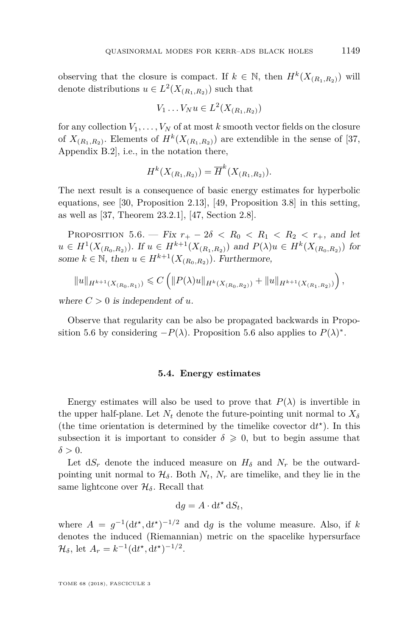observing that the closure is compact. If  $k \in \mathbb{N}$ , then  $H^k(X_{(R_1,R_2)})$  will denote distributions  $u \in L^2(X_{(R_1,R_2)})$  such that

$$
V_1 \ldots V_N u \in L^2(X_{(R_1,R_2)})
$$

for any collection  $V_1, \ldots, V_N$  of at most  $k$  smooth vector fields on the closure of  $X_{(R_1,R_2)}$ . Elements of  $H^k(X_{(R_1,R_2)})$  are extendible in the sense of [\[37,](#page-42-14) Appendix B.2], i.e., in the notation there,

$$
H^k(X_{(R_1,R_2)}) = \overline{H}^k(X_{(R_1,R_2)}).
$$

The next result is a consequence of basic energy estimates for hyperbolic equations, see [\[30,](#page-42-19) Proposition 2.13], [\[49,](#page-42-0) Proposition 3.8] in this setting, as well as [\[37,](#page-42-14) Theorem 23.2.1], [\[47,](#page-42-20) Section 2.8].

<span id="page-25-0"></span>PROPOSITION 5.6. — Fix  $r_{+} - 2\delta < R_0 < R_1 < R_2 < r_{+}$ , and let  $u \in H^1(X_{(R_0,R_2)})$ . If  $u \in H^{k+1}(X_{(R_1,R_2)})$  and  $P(\lambda)u \in H^k(X_{(R_0,R_2)})$  for some  $k \in \mathbb{N}$ , then  $u \in H^{k+1}(X_{(R_0,R_2)})$ . Furthermore,

$$
||u||_{H^{k+1}(X_{(R_0,R_1)})} \leqslant C \left( ||P(\lambda)u||_{H^k(X_{(R_0,R_2)})} + ||u||_{H^{k+1}(X_{(R_1,R_2)})} \right),
$$

where  $C > 0$  is independent of  $u$ .

Observe that regularity can be also be propagated backwards in Propo-sition [5.6](#page-25-0) by considering  $-P(\lambda)$ . Proposition 5.6 also applies to  $P(\lambda)^*$ .

#### **5.4. Energy estimates**

Energy estimates will also be used to prove that  $P(\lambda)$  is invertible in the upper half-plane. Let  $N_t$  denote the future-pointing unit normal to  $X_\delta$ (the time orientation is determined by the timelike covector  $dt^*$ ). In this subsection it is important to consider  $\delta \geq 0$ , but to begin assume that  $\delta > 0$ .

Let  $dS_r$  denote the induced measure on  $H_\delta$  and  $N_r$  be the outwardpointing unit normal to  $\mathcal{H}_{\delta}$ . Both  $N_t$ ,  $N_r$  are timelike, and they lie in the same lightcone over  $\mathcal{H}_{\delta}$ . Recall that

$$
\mathrm{d}g = A \cdot \mathrm{d}t^* \,\mathrm{d}S_t,
$$

where  $A = g^{-1} (dt^*, dt^*)^{-1/2}$  and dg is the volume measure. Also, if k denotes the induced (Riemannian) metric on the spacelike hypersurface  $\mathcal{H}_{\delta}$ , let  $A_r = k^{-1} (\mathrm{d} t^{\star}, \mathrm{d} t^{\star})^{-1/2}$ .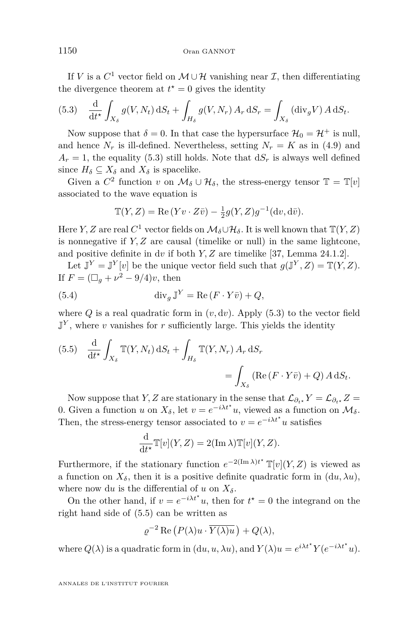If *V* is a  $C^1$  vector field on  $\mathcal{M} \cup \mathcal{H}$  vanishing near  $\mathcal{I}$ , then differentiating the divergence theorem at  $t^* = 0$  gives the identity

<span id="page-26-0"></span>(5.3) 
$$
\frac{\mathrm{d}}{\mathrm{d}t^{\star}} \int_{X_{\delta}} g(V, N_t) \, \mathrm{d}S_t + \int_{H_{\delta}} g(V, N_r) \, A_r \, \mathrm{d}S_r = \int_{X_{\delta}} (\mathrm{div}_g V) \, A \, \mathrm{d}S_t.
$$

Now suppose that  $\delta = 0$ . In that case the hypersurface  $\mathcal{H}_0 = \mathcal{H}^+$  is null, and hence  $N_r$  is ill-defined. Nevertheless, setting  $N_r = K$  as in [\(4.9\)](#page-19-4) and  $A_r = 1$ , the equality [\(5.3\)](#page-26-0) still holds. Note that  $dS_r$  is always well defined since  $H_{\delta} \subseteq X_{\delta}$  and  $X_{\delta}$  is spacelike.

Given a  $C^2$  function  $v$  on  $\mathcal{M}_\delta \cup \mathcal{H}_\delta$ , the stress-energy tensor  $\mathbb{T} = \mathbb{T}[v]$ associated to the wave equation is

$$
\mathbb{T}(Y,Z) = \text{Re}(Yv \cdot Z\overline{v}) - \frac{1}{2}g(Y,Z)g^{-1}(\mathrm{d}v,\mathrm{d}\overline{v}).
$$

Here *Y*, *Z* are real  $C^1$  vector fields on  $\mathcal{M}_\delta \cup \mathcal{H}_\delta$ . It is well known that  $\mathbb{T}(Y, Z)$ is nonnegative if *Y, Z* are causal (timelike or null) in the same lightcone, and positive definite in d*v* if both *Y, Z* are timelike [\[37,](#page-42-14) Lemma 24.1.2].

Let  $\mathbb{J}^Y = \mathbb{J}^Y[v]$  be the unique vector field such that  $g(\mathbb{J}^Y, Z) = \mathbb{T}(Y, Z)$ . If  $F = (\Box_g + \nu^2 - 9/4)v$ , then

(5.4) 
$$
\operatorname{div}_g \mathbb{J}^Y = \operatorname{Re} (F \cdot Y \bar{v}) + Q,
$$

where  $Q$  is a real quadratic form in  $(v, dv)$ . Apply  $(5.3)$  to the vector field  $\mathbb{J}^Y$ , where *v* vanishes for *r* sufficiently large. This yields the identity

<span id="page-26-1"></span>(5.5) 
$$
\frac{\mathrm{d}}{\mathrm{d}t^*} \int_{X_\delta} \mathbb{T}(Y, N_t) \, \mathrm{d}S_t + \int_{H_\delta} \mathbb{T}(Y, N_r) \, A_r \, \mathrm{d}S_r
$$

$$
= \int_{X_\delta} (\text{Re}(F \cdot Y \bar{v}) + Q) \, A \, \mathrm{d}S_t.
$$

Now suppose that *Y*, *Z* are stationary in the sense that  $\mathcal{L}_{\partial_t} Y = \mathcal{L}_{\partial_t X} Z =$ 0. Given a function *u* on  $X_{\delta}$ , let  $v = e^{-i\lambda t^*}u$ , viewed as a function on  $\mathcal{M}_{\delta}$ . Then, the stress-energy tensor associated to  $v = e^{-i\lambda t^*}u$  satisfies

$$
\frac{\mathrm{d}}{\mathrm{d}t^{\star}}\mathbb{T}[v](Y,Z) = 2(\operatorname{Im}\lambda)\mathbb{T}[v](Y,Z).
$$

Furthermore, if the stationary function  $e^{-2(\text{Im }\lambda)t^*}\mathbb{T}[v](Y, Z)$  is viewed as a function on  $X_{\delta}$ , then it is a positive definite quadratic form in  $(du, \lambda u)$ , where now d*u* is the differential of *u* on  $X_{\delta}$ .

On the other hand, if  $v = e^{-i\lambda t^*}u$ , then for  $t^* = 0$  the integrand on the right hand side of [\(5.5\)](#page-26-1) can be written as

$$
\varrho^{-2} \operatorname{Re} \left( P(\lambda) u \cdot \overline{Y(\lambda) u} \right) + Q(\lambda),
$$

where  $Q(\lambda)$  is a quadratic form in  $(du, u, \lambda u)$ , and  $Y(\lambda)u = e^{i\lambda t^*}Y(e^{-i\lambda t^*}u)$ .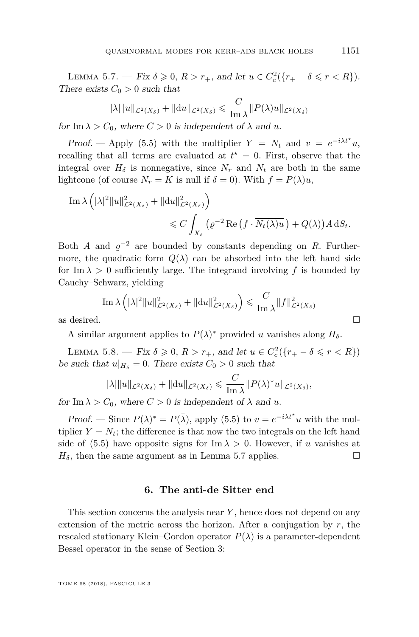<span id="page-27-0"></span>LEMMA 5.7. — Fix  $\delta \geq 0$ ,  $R > r_+$ , and let  $u \in C_c^2({r_+ - \delta \leq r < R})$ . There exists  $C_0 > 0$  such that

$$
|\lambda| \|u\|_{\mathcal{L}^2(X_\delta)} + \|\mathrm{d} u\|_{\mathcal{L}^2(X_\delta)} \leq \frac{C}{\mathrm{Im}\,\lambda} \|P(\lambda)u\|_{\mathcal{L}^2(X_\delta)}
$$

for Im  $\lambda > C_0$ , where  $C > 0$  is independent of  $\lambda$  and  $u$ .

Proof. — Apply [\(5.5\)](#page-26-1) with the multiplier  $Y = N_t$  and  $v = e^{-i\lambda t^*}u$ , recalling that all terms are evaluated at  $t^* = 0$ . First, observe that the integral over  $H_\delta$  is nonnegative, since  $N_r$  and  $N_t$  are both in the same lightcone (of course  $N_r = K$  is null if  $\delta = 0$ ). With  $f = P(\lambda)u$ ,

Im 
$$
\lambda \left( |\lambda|^2 ||u||^2_{\mathcal{L}^2(X_\delta)} + ||du||^2_{\mathcal{L}^2(X_\delta)} \right)
$$
  
 $\leq C \int_{X_\delta} \left( \varrho^{-2} \operatorname{Re} \left( f \cdot \overline{N_t(\lambda)u} \right) + Q(\lambda) \right) A \, dS_t.$ 

Both *A* and  $\varrho^{-2}$  are bounded by constants depending on *R*. Furthermore, the quadratic form  $Q(\lambda)$  can be absorbed into the left hand side for Im  $\lambda > 0$  sufficiently large. The integrand involving f is bounded by Cauchy–Schwarz, yielding

$$
\operatorname{Im}\lambda\left(|\lambda|^2\|u\|_{\mathcal{L}^2(X_\delta)}^2 + \|\mathrm{d}u\|_{\mathcal{L}^2(X_\delta)}^2\right) \leq \frac{C}{\operatorname{Im}\lambda} \|f\|_{\mathcal{L}^2(X_\delta)}^2
$$
 as desired.

A similar argument applies to  $P(\lambda)^*$  provided *u* vanishes along  $H_\delta$ .

<span id="page-27-1"></span>LEMMA 5.8. — Fix  $\delta \ge 0$ ,  $R > r_+$ , and let  $u \in C_c^2({r_+ - \delta \le r < R})$ be such that  $u|_{H_\delta} = 0$ . There exists  $C_0 > 0$  such that

$$
|\lambda| \|u\|_{\mathcal{L}^2(X_\delta)} + \|du\|_{\mathcal{L}^2(X_\delta)} \leqslant \frac{C}{\text{Im }\lambda} \|P(\lambda)^* u\|_{\mathcal{L}^2(X_\delta)},
$$

for Im  $\lambda > C_0$ , where  $C > 0$  is independent of  $\lambda$  and  $u$ .

Proof. — Since  $P(\lambda)^* = P(\bar{\lambda})$ , apply [\(5.5\)](#page-26-1) to  $v = e^{-i\bar{\lambda}t^*}u$  with the multiplier  $Y = N_t$ ; the difference is that now the two integrals on the left hand side of [\(5.5\)](#page-26-1) have opposite signs for  $\text{Im }\lambda > 0$ . However, if *u* vanishes at  $H_{\delta}$ , then the same argument as in Lemma [5.7](#page-27-0) applies.

#### **6. The anti-de Sitter end**

<span id="page-27-2"></span>This section concerns the analysis near *Y* , hence does not depend on any extension of the metric across the horizon. After a conjugation by  $r$ , the rescaled stationary Klein–Gordon operator  $P(\lambda)$  is a parameter-dependent Bessel operator in the sense of Section [3:](#page-13-0)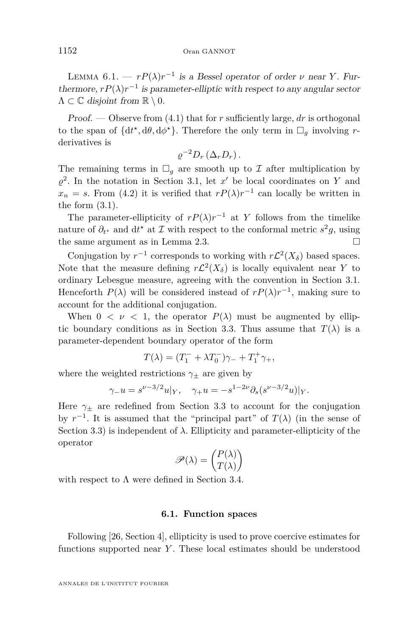<span id="page-28-1"></span>LEMMA  $6.1. - rP(\lambda)r^{-1}$  is a Bessel operator of order *ν* near *Y*. Furthermore,  $rP(\lambda)r^{-1}$  is parameter-elliptic with respect to any angular sector  $\Lambda \subset \mathbb{C}$  disjoint from  $\mathbb{R} \setminus 0$ .

Proof. — Observe from [\(4.1\)](#page-17-0) that for *r* sufficiently large, *dr* is orthogonal to the span of  $\{dt^*, d\theta, d\phi^*\}$ . Therefore the only term in  $\Box_g$  involving rderivatives is

$$
\varrho^{-2}D_r\left(\Delta_r D_r\right).
$$

The remaining terms in  $\Box_q$  are smooth up to  $\mathcal I$  after multiplication by  $\varrho^2$ . In the notation in Section [3.1,](#page-14-2) let *x*<sup>'</sup> be local coordinates on *Y* and  $x_n = s$ . From [\(4.2\)](#page-18-3) it is verified that  $rP(\lambda)r^{-1}$  can locally be written in the form  $(3.1)$ .

The parameter-ellipticity of  $rP(\lambda)r^{-1}$  at *Y* follows from the timelike nature of  $\partial_t$ <sup>\*</sup> and d<sup>\*</sup> at I with respect to the conformal metric  $s^2g$ , using the same argument as in Lemma [2.3.](#page-13-3)

Conjugation by  $r^{-1}$  corresponds to working with  $r\mathcal{L}^2(X_\delta)$  based spaces. Note that the measure defining  $r\mathcal{L}^2(X_\delta)$  is locally equivalent near Y to ordinary Lebesgue measure, agreeing with the convention in Section [3.1.](#page-14-2) Henceforth  $P(\lambda)$  will be considered instead of  $rP(\lambda)r^{-1}$ , making sure to account for the additional conjugation.

When  $0 < \nu < 1$ , the operator  $P(\lambda)$  must be augmented by ellip-tic boundary conditions as in Section [3.3.](#page-15-0) Thus assume that  $T(\lambda)$  is a parameter-dependent boundary operator of the form

$$
T(\lambda) = (T_1^- + \lambda T_0^-)\gamma_- + T_1^+ \gamma_+,
$$

where the weighted restrictions  $\gamma_{\pm}$  are given by

$$
\gamma_{-}u = s^{\nu - 3/2}u|_{Y}, \quad \gamma_{+}u = -s^{1 - 2\nu}\partial_{s}(s^{\nu - 3/2}u)|_{Y}.
$$

Here  $\gamma_{\pm}$  are redefined from Section [3.3](#page-15-0) to account for the conjugation by  $r^{-1}$ . It is assumed that the "principal part" of  $T(\lambda)$  (in the sense of Section [3.3\)](#page-15-0) is independent of  $\lambda$ . Ellipticity and parameter-ellipticity of the operator

$$
\mathscr{P}(\lambda) = \begin{pmatrix} P(\lambda) \\ T(\lambda) \end{pmatrix}
$$

with respect to  $\Lambda$  were defined in Section [3.4.](#page-16-1)

#### **6.1. Function spaces**

<span id="page-28-0"></span>Following [\[26,](#page-41-9) Section 4], ellipticity is used to prove coercive estimates for functions supported near *Y* . These local estimates should be understood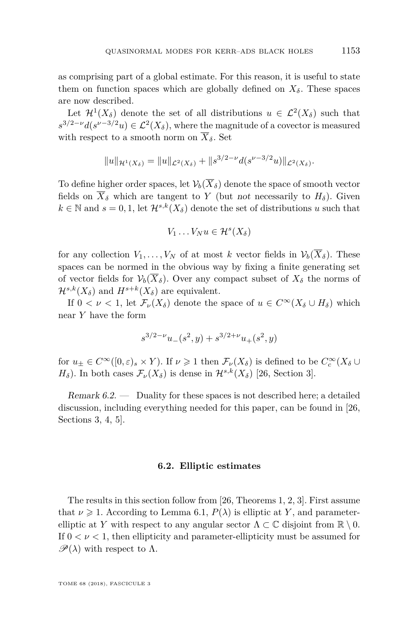as comprising part of a global estimate. For this reason, it is useful to state them on function spaces which are globally defined on  $X_{\delta}$ . These spaces are now described.

Let  $\mathcal{H}^1(X_\delta)$  denote the set of all distributions  $u \in \mathcal{L}^2(X_\delta)$  such that  $s^{3/2-\nu}d(s^{\nu-3/2}u) \in \mathcal{L}^2(X_\delta)$ , where the magnitude of a covector is measured with respect to a smooth norm on  $\overline{X}_{\delta}$ . Set

$$
||u||_{\mathcal{H}^1(X_\delta)} = ||u||_{\mathcal{L}^2(X_\delta)} + ||s^{3/2-\nu}d(s^{\nu-3/2}u)||_{\mathcal{L}^2(X_\delta)}.
$$

To define higher order spaces, let  $\mathcal{V}_b(\overline{X}_\delta)$  denote the space of smooth vector fields on  $\overline{X}_{\delta}$  which are tangent to *Y* (but not necessarily to  $H_{\delta}$ ). Given  $k \in \mathbb{N}$  and  $s = 0, 1$ , let  $\mathcal{H}^{s,k}(X_{\delta})$  denote the set of distributions *u* such that

$$
V_1 \ldots V_N u \in \mathcal{H}^s(X_\delta)
$$

for any collection  $V_1, \ldots, V_N$  of at most *k* vector fields in  $\mathcal{V}_b(\overline{X}_{\delta})$ . These spaces can be normed in the obvious way by fixing a finite generating set of vector fields for  $\mathcal{V}_b(\overline{X}_\delta)$ . Over any compact subset of  $X_\delta$  the norms of  $\mathcal{H}^{s,k}(X_{\delta})$  and  $H^{s+k}(X_{\delta})$  are equivalent.

If  $0 < \nu < 1$ , let  $\mathcal{F}_{\nu}(X_{\delta})$  denote the space of  $u \in C^{\infty}(X_{\delta} \cup H_{\delta})$  which near *Y* have the form

$$
s^{3/2-\nu}u_-(s^2,y) + s^{3/2+\nu}u_+(s^2,y)
$$

for  $u_{\pm} \in C^{\infty}([0,\varepsilon)_s \times Y)$ . If  $\nu \geq 1$  then  $\mathcal{F}_{\nu}(X_{\delta})$  is defined to be  $C_c^{\infty}(X_{\delta} \cup$ *H*<sup> $_{\delta}$ </sup>). In both cases  $\mathcal{F}_{\nu}(X_{\delta})$  is dense in  $\mathcal{H}^{s,k}(X_{\delta})$  [\[26,](#page-41-9) Section 3].

Remark 6.2. — Duality for these spaces is not described here; a detailed discussion, including everything needed for this paper, can be found in [\[26,](#page-41-9) Sections 3, 4, 5].

#### **6.2. Elliptic estimates**

<span id="page-29-0"></span>The results in this section follow from [\[26,](#page-41-9) Theorems 1, 2, 3]. First assume that  $\nu \geq 1$ . According to Lemma [6.1,](#page-28-1)  $P(\lambda)$  is elliptic at Y, and parameterelliptic at *Y* with respect to any angular sector  $\Lambda \subset \mathbb{C}$  disjoint from  $\mathbb{R} \setminus 0$ . If  $0 < \nu < 1$ , then ellipticity and parameter-ellipticity must be assumed for  $\mathscr{P}(\lambda)$  with respect to  $\Lambda$ .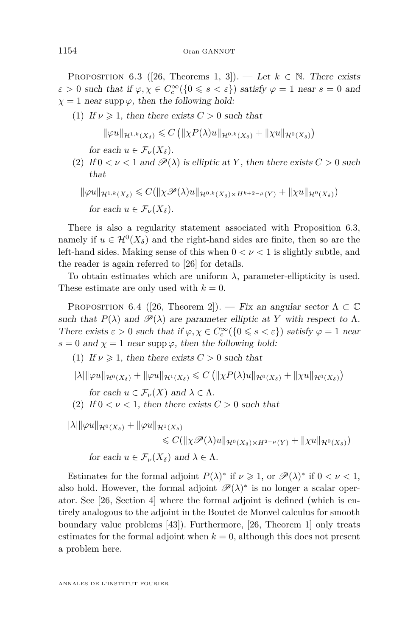<span id="page-30-0"></span>PROPOSITION 6.3 ([\[26,](#page-41-9) Theorems 1, 3]). — Let  $k \in \mathbb{N}$ . There exists  $\varepsilon > 0$  such that if  $\varphi, \chi \in C_c^{\infty}(\{0 \leq s < \varepsilon\})$  satisfy  $\varphi = 1$  near  $s = 0$  and  $\chi = 1$  near supp  $\varphi$ , then the following hold:

(1) If  $\nu \geq 1$ , then there exists  $C > 0$  such that

 $\|\varphi u\|_{\mathcal{H}^{1,k}(X_{\delta})} \leqslant C \left( \|\chi P(\lambda)u\|_{\mathcal{H}^{0,k}(X_{\delta})} + \|\chi u\|_{\mathcal{H}^{0}(X_{\delta})} \right)$ 

for each  $u \in \mathcal{F}_{\nu}(X_{\delta}).$ 

(2) If  $0 < \nu < 1$  and  $\mathscr{P}(\lambda)$  is elliptic at Y, then there exists  $C > 0$  such that

$$
\|\varphi u\|_{\mathcal{H}^{1,k}(X_{\delta})} \leq C(\|\chi \mathscr{P}(\lambda)u\|_{\mathcal{H}^{0,k}(X_{\delta})\times H^{k+2-\mu}(Y)} + \|\chi u\|_{\mathcal{H}^{0}(X_{\delta})})
$$
  
for each  $u \in \mathcal{F}_{\nu}(X_{\delta})$ .

There is also a regularity statement associated with Proposition [6.3,](#page-30-0) namely if  $u \in \mathcal{H}^0(X_\delta)$  and the right-hand sides are finite, then so are the left-hand sides. Making sense of this when 0 *< ν <* 1 is slightly subtle, and the reader is again referred to [\[26\]](#page-41-9) for details.

To obtain estimates which are uniform  $\lambda$ , parameter-ellipticity is used. These estimate are only used with  $k = 0$ .

<span id="page-30-1"></span>PROPOSITION 6.4 ([\[26,](#page-41-9) Theorem 2]). — Fix an angular sector  $\Lambda \subset \mathbb{C}$ such that  $P(\lambda)$  and  $\mathscr{P}(\lambda)$  are parameter elliptic at *Y* with respect to  $\Lambda$ . There exists  $\varepsilon > 0$  such that if  $\varphi, \chi \in C_c^{\infty}(\{0 \leq s < \varepsilon\})$  satisfy  $\varphi = 1$  near  $s = 0$  and  $\chi = 1$  near supp  $\varphi$ , then the following hold:

(1) If  $\nu \geq 1$ , then there exists  $C > 0$  such that

$$
|\lambda|\|\varphi u\|_{\mathcal{H}^0(X_\delta)} + \|\varphi u\|_{\mathcal{H}^1(X_\delta)} \leqslant C\left(\|\chi P(\lambda)u\|_{\mathcal{H}^0(X_\delta)} + \|\chi u\|_{\mathcal{H}^0(X_\delta)}\right)
$$

for each  $u \in \mathcal{F}_{\nu}(X)$  and  $\lambda \in \Lambda$ .

(2) If  $0 < \nu < 1$ , then there exists  $C > 0$  such that

 $|\lambda| \|\varphi u\|_{\mathcal{H}^{0}(X_{\delta})} + \|\varphi u\|_{\mathcal{H}^{1}(X_{\delta})}$  $\leq C(\|\chi \mathscr{P}(\lambda)u\|_{\mathcal{H}^{0}(X_{\delta})\times H^{2-\mu}(Y)} + \|\chi u\|_{\mathcal{H}^{0}(X_{\delta})})$ for each  $u \in \mathcal{F}_{\nu}(X_{\delta})$  and  $\lambda \in \Lambda$ .

Estimates for the formal adjoint  $P(\lambda)$ <sup>\*</sup> if  $\nu \ge 1$ , or  $\mathscr{P}(\lambda)$ <sup>\*</sup> if  $0 < \nu < 1$ , also hold. However, the formal adjoint  $\mathscr{P}(\lambda)^*$  is no longer a scalar operator. See [\[26,](#page-41-9) Section 4] where the formal adjoint is defined (which is entirely analogous to the adjoint in the Boutet de Monvel calculus for smooth boundary value problems [\[43\]](#page-42-21)). Furthermore, [\[26,](#page-41-9) Theorem 1] only treats estimates for the formal adjoint when  $k = 0$ , although this does not present a problem here.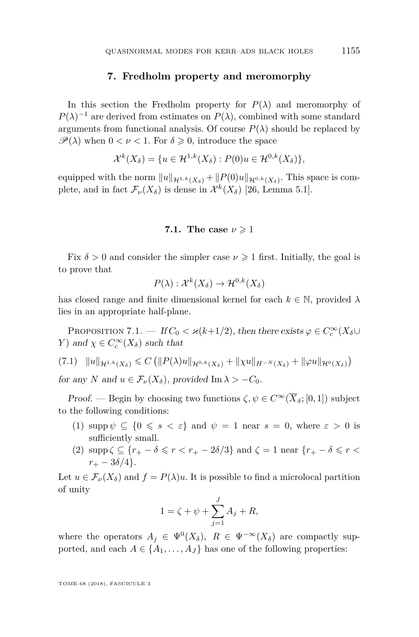#### **7. Fredholm property and meromorphy**

In this section the Fredholm property for  $P(\lambda)$  and meromorphy of  $P(\lambda)^{-1}$  are derived from estimates on  $P(\lambda)$ , combined with some standard arguments from functional analysis. Of course  $P(\lambda)$  should be replaced by  $\mathscr{P}(\lambda)$  when  $0 < \nu < 1$ . For  $\delta \geq 0$ , introduce the space

$$
\mathcal{X}^k(X_\delta) = \{ u \in \mathcal{H}^{1,k}(X_\delta) : P(0)u \in \mathcal{H}^{0,k}(X_\delta) \},
$$

equipped with the norm  $||u||_{\mathcal{H}^{1,k}(X_{\delta})} + ||P(0)u||_{\mathcal{H}^{0,k}(X_{\delta})}$ . This space is complete, and in fact  $\mathcal{F}_{\nu}(X_{\delta})$  is dense in  $\mathcal{X}^{k}(X_{\delta})$  [\[26,](#page-41-9) Lemma 5.1].

#### **7.1.** The case  $\nu \geq 1$

Fix  $\delta > 0$  and consider the simpler case  $\nu \geq 1$  first. Initially, the goal is to prove that

$$
P(\lambda) : \mathcal{X}^k(X_\delta) \to \mathcal{H}^{0,k}(X_\delta)
$$

has closed range and finite dimensional kernel for each  $k \in \mathbb{N}$ , provided  $\lambda$ lies in an appropriate half-plane.

<span id="page-31-1"></span>PROPOSITION 7.1. — If  $C_0 < \varkappa (k+1/2)$ , then there exists  $\varphi \in C_c^{\infty}(X_{\delta} \cup$ *Y*) and  $\chi \in C_c^{\infty}(X_{\delta})$  such that

<span id="page-31-0"></span>
$$
(7.1) \quad ||u||_{\mathcal{H}^{1,k}(X_{\delta})} \leq C \left( ||P(\lambda)u||_{\mathcal{H}^{0,k}(X_{\delta})} + ||\chi u||_{H^{-N}(X_{\delta})} + ||\varphi u||_{\mathcal{H}^{0}(X_{\delta})} \right)
$$

for any *N* and  $u \in \mathcal{F}_{\nu}(X_{\delta})$ , provided Im  $\lambda > -C_0$ .

*Proof.* — Begin by choosing two functions  $\zeta, \psi \in C^{\infty}(\overline{X}_{\delta}; [0, 1])$  subject to the following conditions:

- (1) supp  $\psi \subseteq \{0 \leq s < \varepsilon\}$  and  $\psi = 1$  near  $s = 0$ , where  $\varepsilon > 0$  is sufficiently small.
- (2)  $\text{supp }\zeta \subseteq \{r_+ \delta \leqslant r < r_+ 2\delta/3\}$  and  $\zeta = 1$  near  $\{r_+ \delta \leqslant r < r_+ 2\delta/3\}$  $r_{+} - 3\delta/4$ .

Let  $u \in \mathcal{F}_{\nu}(X_{\delta})$  and  $f = P(\lambda)u$ . It is possible to find a microlocal partition of unity

$$
1 = \zeta + \psi + \sum_{j=1}^{J} A_j + R,
$$

where the operators  $A_j \in \Psi^0(X_\delta)$ ,  $R \in \Psi^{-\infty}(X_\delta)$  are compactly supported, and each  $A \in \{A_1, \ldots, A_J\}$  has one of the following properties: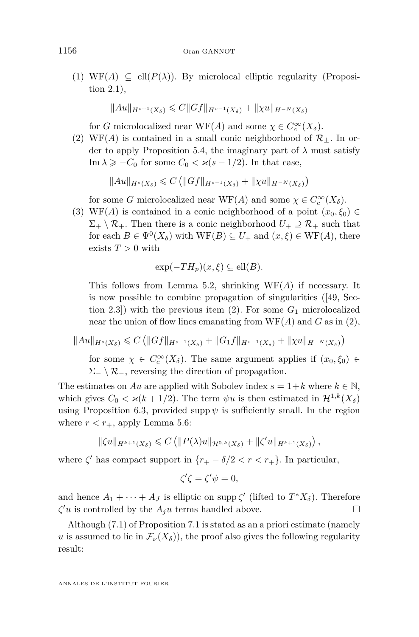(1) WF(A)  $\subseteq$  ell( $P(\lambda)$ ). By microlocal elliptic regularity (Proposition [2.1\)](#page-11-1),

$$
||Au||_{H^{s+1}(X_\delta)} \leq C||Gf||_{H^{s-1}(X_\delta)} + ||\chi u||_{H^{-N}(X_\delta)}
$$

for *G* microlocalized near  $WF(A)$  and some  $\chi \in C_c^{\infty}(X_{\delta})$ .

<span id="page-32-0"></span>(2) WF(A) is contained in a small conic neighborhood of  $\mathcal{R}_{\pm}$ . In or-der to apply Proposition [5.4,](#page-24-0) the imaginary part of  $\lambda$  must satisfy Im  $\lambda \geq -C_0$  for some  $C_0 < \varkappa (s - 1/2)$ . In that case,

$$
||Au||_{H^{s}(X_{\delta})} \leq C (||Gf||_{H^{s-1}(X_{\delta})} + ||\chi u||_{H^{-N}(X_{\delta})})
$$

for some *G* microlocalized near  $WF(A)$  and some  $\chi \in C_c^{\infty}(X_{\delta})$ .

(3) WF(*A*) is contained in a conic neighborhood of a point  $(x_0, \xi_0) \in$  $\Sigma_+ \setminus \mathcal{R}_+$ . Then there is a conic neighborhood  $U_+ \supseteq \mathcal{R}_+$  such that for each  $B \in \Psi^0(X_\delta)$  with  $WF(B) \subseteq U_+$  and  $(x,\xi) \in WF(A)$ , there exists  $T > 0$  with

$$
\exp(-TH_p)(x,\xi) \subseteq \text{ell}(B).
$$

This follows from Lemma [5.2,](#page-23-2) shrinking WF(*A*) if necessary. It is now possible to combine propagation of singularities ([\[49,](#page-42-0) Section 2.3]) with the previous item  $(2)$ . For some  $G_1$  microlocalized near the union of flow lines emanating from WF(*A*) and *G* as in [\(2\)](#page-32-0),

$$
||Au||_{H^{s}(X_{\delta})} \leq C \left( ||Gf||_{H^{s-1}(X_{\delta})} + ||G_1f||_{H^{s-1}(X_{\delta})} + ||\chi u||_{H^{-N}(X_{\delta})} \right)
$$

for some  $\chi \in C_c^{\infty}(X_{\delta})$ . The same argument applies if  $(x_0, \xi_0) \in$  $\Sigma_-\setminus\mathcal{R}_-$ , reversing the direction of propagation.

The estimates on *Au* are applied with Sobolev index  $s = 1 + k$  where  $k \in \mathbb{N}$ , which gives  $C_0 < \varkappa (k + 1/2)$ . The term  $\psi u$  is then estimated in  $\mathcal{H}^{1,k}(X_\delta)$ using Proposition [6.3,](#page-30-0) provided supp  $\psi$  is sufficiently small. In the region where  $r < r_{+}$ , apply Lemma [5.6:](#page-25-0)

$$
\|\zeta u\|_{H^{k+1}(X_\delta)} \leqslant C\left(\|P(\lambda)u\|_{\mathcal{H}^{0,k}(X_\delta)}+\|\zeta'u\|_{H^{k+1}(X_\delta)}\right),
$$

where  $\zeta'$  has compact support in  $\{r_+ - \delta/2 < r < r_+\}$ . In particular,

$$
\zeta'\zeta = \zeta'\psi = 0,
$$

and hence  $A_1 + \cdots + A_J$  is elliptic on supp  $\zeta'$  (lifted to  $T^*X_\delta$ ). Therefore  $\zeta' u$  is controlled by the  $A_j u$  terms handled above.

Although [\(7.1\)](#page-31-0) of Proposition [7.1](#page-31-1) is stated as an a priori estimate (namely *u* is assumed to lie in  $\mathcal{F}_{\nu}(X_{\delta})$ , the proof also gives the following regularity result: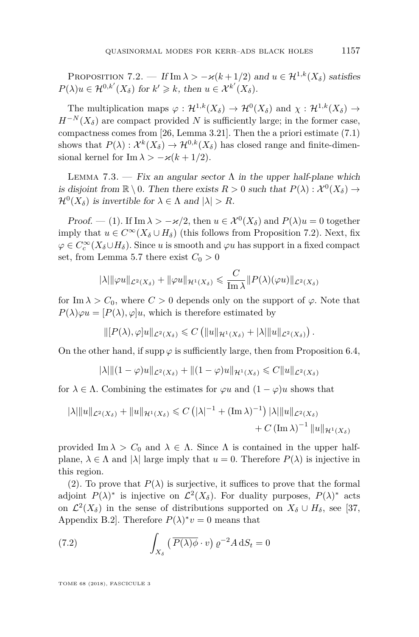<span id="page-33-0"></span>PROPOSITION 7.2. — If Im  $\lambda > -\varkappa (k+1/2)$  and  $u \in \mathcal{H}^{1,k}(X_{\delta})$  satisfies  $P(\lambda)u \in \mathcal{H}^{0,k'}(X_{\delta})$  for  $k' \geq k$ , then  $u \in \mathcal{X}^{k'}(X_{\delta})$ .

The multiplication maps  $\varphi : \mathcal{H}^{1,k}(X_\delta) \to \mathcal{H}^0(X_\delta)$  and  $\chi : \mathcal{H}^{1,k}(X_\delta) \to$  $H^{-N}(X_{\delta})$  are compact provided *N* is sufficiently large; in the former case, compactness comes from [\[26,](#page-41-9) Lemma 3.21]. Then the a priori estimate [\(7.1\)](#page-31-0) shows that  $P(\lambda) : \mathcal{X}^k(X_\delta) \to \mathcal{H}^{0,k}(X_\delta)$  has closed range and finite-dimensional kernel for Im  $\lambda > -\varkappa (k + 1/2)$ .

<span id="page-33-1"></span>LEMMA 7.3. — Fix an angular sector  $\Lambda$  in the upper half-plane which is disjoint from  $\mathbb{R} \setminus 0$ . Then there exists  $R > 0$  such that  $P(\lambda) : \mathcal{X}^0(X_\delta) \to$  $\mathcal{H}^0(X_\delta)$  is invertible for  $\lambda \in \Lambda$  and  $|\lambda| > R$ .

Proof. — (1). If  $\text{Im }\lambda > -\varkappa/2$ , then  $u \in \mathcal{X}^0(X_\delta)$  and  $P(\lambda)u = 0$  together imply that  $u \in C^{\infty}(X_{\delta} \cup H_{\delta})$  (this follows from Proposition [7.2\)](#page-33-0). Next, fix  $\varphi \in C_c^{\infty}(X_{\delta} \cup H_{\delta})$ . Since *u* is smooth and  $\varphi u$  has support in a fixed compact set, from Lemma [5.7](#page-27-0) there exist  $C_0 > 0$ 

$$
|\lambda| ||\varphi u||_{\mathcal{L}^2(X_\delta)} + ||\varphi u||_{\mathcal{H}^1(X_\delta)} \leqslant \frac{C}{\text{Im }\lambda} ||P(\lambda)(\varphi u)||_{\mathcal{L}^2(X_\delta)}
$$

for Im  $\lambda > C_0$ , where  $C > 0$  depends only on the support of  $\varphi$ . Note that  $P(\lambda)\varphi u = [P(\lambda), \varphi]u$ , which is therefore estimated by

$$
\| [P(\lambda), \varphi] u \|_{\mathcal{L}^2(X_\delta)} \leqslant C \left( \| u \|_{\mathcal{H}^1(X_\delta)} + |\lambda| \| u \|_{\mathcal{L}^2(X_\delta)} \right).
$$

On the other hand, if supp  $\varphi$  is sufficiently large, then from Proposition [6.4,](#page-30-1)

$$
|\lambda|\|(1-\varphi)u\|_{\mathcal{L}^2(X_\delta)}+\|(1-\varphi)u\|_{\mathcal{H}^1(X_\delta)}\leqslant C\|u\|_{\mathcal{L}^2(X_\delta)}
$$

for  $\lambda \in \Lambda$ . Combining the estimates for  $\varphi u$  and  $(1 - \varphi)u$  shows that

$$
|\lambda| \|u\|_{\mathcal{L}^{2}(X_{\delta})} + \|u\|_{\mathcal{H}^{1}(X_{\delta})} \leq C \left( |\lambda|^{-1} + (\text{Im }\lambda)^{-1} \right) |\lambda| \|u\|_{\mathcal{L}^{2}(X_{\delta})} + C \left( \text{Im }\lambda \right)^{-1} \|u\|_{\mathcal{H}^{1}(X_{\delta})}
$$

provided Im  $\lambda > C_0$  and  $\lambda \in \Lambda$ . Since  $\Lambda$  is contained in the upper halfplane,  $\lambda \in \Lambda$  and  $|\lambda|$  large imply that  $u = 0$ . Therefore  $P(\lambda)$  is injective in this region.

(2). To prove that  $P(\lambda)$  is surjective, it suffices to prove that the formal adjoint  $P(\lambda)^*$  is injective on  $\mathcal{L}^2(X_\delta)$ . For duality purposes,  $P(\lambda)^*$  acts on  $\mathcal{L}^2(X_\delta)$  in the sense of distributions supported on  $X_\delta \cup H_\delta$ , see [\[37,](#page-42-14) Appendix B.2. Therefore  $P(\lambda)^* v = 0$  means that

(7.2) 
$$
\int_{X_{\delta}} \left( \overline{P(\lambda)\phi} \cdot v \right) \varrho^{-2} A \, dS_t = 0
$$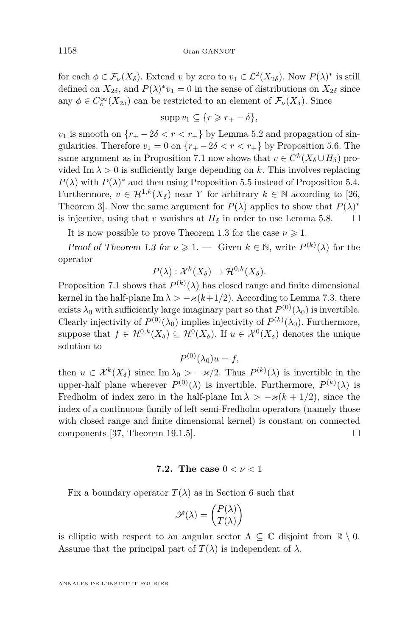for each  $\phi \in \mathcal{F}_{\nu}(X_{\delta})$ . Extend *v* by zero to  $v_1 \in \mathcal{L}^2(X_{2\delta})$ . Now  $P(\lambda)^*$  is still defined on  $X_{2\delta}$ , and  $P(\lambda)^* v_1 = 0$  in the sense of distributions on  $X_{2\delta}$  since any  $\phi \in C_c^{\infty}(X_{2\delta})$  can be restricted to an element of  $\mathcal{F}_{\nu}(X_{\delta})$ . Since

$$
\mathrm{supp}\, v_1\subseteq \{r\geqslant r_+-\delta\},
$$

*v*<sub>1</sub> is smooth on  ${r_+ - 2\delta < r < r_+}$  by Lemma [5.2](#page-23-2) and propagation of singularities. Therefore  $v_1 = 0$  on  $\{r_+ - 2\delta < r < r_+\}$  by Proposition [5.6.](#page-25-0) The same argument as in Proposition [7.1](#page-31-1) now shows that  $v \in C^k(X_\delta \cup H_\delta)$  provided Im  $\lambda > 0$  is sufficiently large depending on k. This involves replacing  $P(\lambda)$  with  $P(\lambda)$ <sup>\*</sup> and then using Proposition [5.5](#page-24-1) instead of Proposition [5.4.](#page-24-0) Furthermore,  $v \in \mathcal{H}^{1,k}(X_{\delta})$  near *Y* for arbitrary  $k \in \mathbb{N}$  according to [\[26,](#page-41-9) Theorem 3]. Now the same argument for  $P(\lambda)$  applies to show that  $P(\lambda)^*$ is injective, using that *v* vanishes at  $H_\delta$  in order to use Lemma [5.8.](#page-27-1)  $\Box$ 

It is now possible to prove Theorem [1.3](#page-7-1) for the case  $\nu \geq 1$ .

Proof of Theorem [1.3](#page-7-1) for  $\nu \geq 1$ . — Given  $k \in \mathbb{N}$ , write  $P^{(k)}(\lambda)$  for the operator

$$
P(\lambda) : \mathcal{X}^k(X_\delta) \to \mathcal{H}^{0,k}(X_\delta).
$$

Proposition [7.1](#page-31-1) shows that  $P^{(k)}(\lambda)$  has closed range and finite dimensional kernel in the half-plane Im  $\lambda > -\varkappa (k+1/2)$ . According to Lemma [7.3,](#page-33-1) there exists  $\lambda_0$  with sufficiently large imaginary part so that  $P^{(0)}(\lambda_0)$  is invertible. Clearly injectivity of  $P^{(0)}(\lambda_0)$  implies injectivity of  $P^{(k)}(\lambda_0)$ . Furthermore, suppose that  $f \in \mathcal{H}^{0,k}(X_\delta) \subseteq \mathcal{H}^0(X_\delta)$ . If  $u \in \mathcal{X}^0(X_\delta)$  denotes the unique solution to

$$
P^{(0)}(\lambda_0)u = f,
$$

then  $u \in \mathcal{X}^k(X_\delta)$  since Im  $\lambda_0 > -\varkappa/2$ . Thus  $P^{(k)}(\lambda)$  is invertible in the upper-half plane wherever  $P^{(0)}(\lambda)$  is invertible. Furthermore,  $P^{(k)}(\lambda)$  is Fredholm of index zero in the half-plane Im  $\lambda > -\varkappa (k + 1/2)$ , since the index of a continuous family of left semi-Fredholm operators (namely those with closed range and finite dimensional kernel) is constant on connected components [\[37,](#page-42-14) Theorem 19.1.5].  $\square$ 

#### **7.2. The case** 0 *< ν <* 1

Fix a boundary operator  $T(\lambda)$  as in Section [6](#page-27-2) such that

$$
\mathscr{P}(\lambda) = \begin{pmatrix} P(\lambda) \\ T(\lambda) \end{pmatrix}
$$

is elliptic with respect to an angular sector  $\Lambda \subseteq \mathbb{C}$  disjoint from  $\mathbb{R} \setminus \mathbb{0}$ . Assume that the principal part of  $T(\lambda)$  is independent of  $\lambda$ .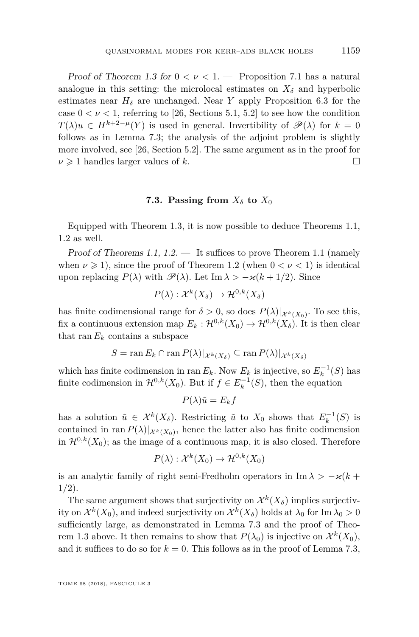Proof of Theorem [1.3](#page-7-1) for  $0 < \nu < 1$ . — Proposition [7.1](#page-31-1) has a natural analogue in this setting: the microlocal estimates on  $X_{\delta}$  and hyperbolic estimates near  $H_\delta$  are unchanged. Near *Y* apply Proposition [6.3](#page-30-0) for the case  $0 < \nu < 1$ , referring to [\[26,](#page-41-9) Sections 5.1, 5.2] to see how the condition  $T(\lambda)u \in H^{k+2-\mu}(Y)$  is used in general. Invertibility of  $\mathscr{P}(\lambda)$  for  $k=0$ follows as in Lemma [7.3;](#page-33-1) the analysis of the adjoint problem is slightly more involved, see [\[26,](#page-41-9) Section 5.2]. The same argument as in the proof for  $\nu \geq 1$  handles larger values of *k*.

#### **7.3. Passing from**  $X_{\delta}$  **to**  $X_0$

<span id="page-35-0"></span>Equipped with Theorem [1.3,](#page-7-1) it is now possible to deduce Theorems [1.1,](#page-5-0) [1.2](#page-6-0) as well.

Proof of Theorems [1.1,](#page-5-0)  $1.2.$  — It suffices to prove Theorem [1.1](#page-5-0) (namely when  $\nu \geq 1$ ), since the proof of Theorem [1.2](#page-6-0) (when  $0 < \nu < 1$ ) is identical upon replacing  $P(\lambda)$  with  $\mathscr{P}(\lambda)$ . Let Im  $\lambda > -\varkappa (k+1/2)$ . Since

$$
P(\lambda) : \mathcal{X}^k(X_\delta) \to \mathcal{H}^{0,k}(X_\delta)
$$

has finite codimensional range for  $\delta > 0$ , so does  $P(\lambda)|_{\mathcal{X}^k(X_0)}$ . To see this, fix a continuous extension map  $E_k : \mathcal{H}^{0,k}(X_0) \to \mathcal{H}^{0,k}(X_{\delta})$ . It is then clear that ran  $E_k$  contains a subspace

$$
S = \operatorname{ran} E_k \cap \operatorname{ran} P(\lambda)|_{\mathcal{X}^k(X_\delta)} \subseteq \operatorname{ran} P(\lambda)|_{\mathcal{X}^k(X_\delta)}
$$

which has finite codimension in ran  $E_k$ . Now  $E_k$  is injective, so  $E_k^{-1}(S)$  has finite codimension in  $\mathcal{H}^{0,k}(X_0)$ . But if  $f \in E_k^{-1}(S)$ , then the equation

$$
P(\lambda)\tilde{u} = E_k f
$$

has a solution  $\tilde{u} \in \mathcal{X}^k(X_\delta)$ . Restricting  $\tilde{u}$  to  $X_0$  shows that  $E_k^{-1}(S)$  is contained in ran  $P(\lambda)|_{\mathcal{X}^k(X_0)}$ , hence the latter also has finite codimension in  $\mathcal{H}^{0,k}(X_0)$ ; as the image of a continuous map, it is also closed. Therefore

$$
P(\lambda) : \mathcal{X}^k(X_0) \to \mathcal{H}^{0,k}(X_0)
$$

is an analytic family of right semi-Fredholm operators in Im  $\lambda > -\varkappa (k +$ 1*/*2).

The same argument shows that surjectivity on  $\mathcal{X}^k(X_\delta)$  implies surjectivity on  $\mathcal{X}^k(X_0)$ , and indeed surjectivity on  $\mathcal{X}^k(X_\delta)$  holds at  $\lambda_0$  for Im  $\lambda_0 > 0$ sufficiently large, as demonstrated in Lemma [7.3](#page-33-1) and the proof of Theo-rem [1.3](#page-7-1) above. It then remains to show that  $P(\lambda_0)$  is injective on  $\mathcal{X}^k(X_0)$ , and it suffices to do so for  $k = 0$ . This follows as in the proof of Lemma [7.3,](#page-33-1)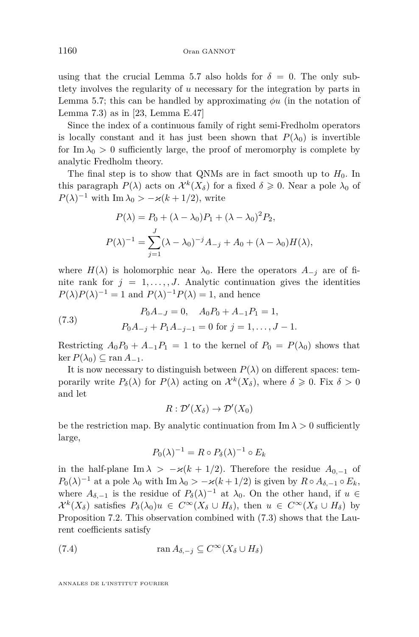using that the crucial Lemma [5.7](#page-27-0) also holds for  $\delta = 0$ . The only subtlety involves the regularity of *u* necessary for the integration by parts in Lemma [5.7;](#page-27-0) this can be handled by approximating *φu* (in the notation of Lemma [7.3\)](#page-33-1) as in [\[23,](#page-41-14) Lemma E.47]

Since the index of a continuous family of right semi-Fredholm operators is locally constant and it has just been shown that  $P(\lambda_0)$  is invertible for Im  $\lambda_0 > 0$  sufficiently large, the proof of meromorphy is complete by analytic Fredholm theory.

The final step is to show that QNMs are in fact smooth up to  $H_0$ . In this paragraph  $P(\lambda)$  acts on  $\mathcal{X}^k(X_\delta)$  for a fixed  $\delta \geqslant 0$ . Near a pole  $\lambda_0$  of  $P(\lambda)^{-1}$  with Im  $\lambda_0$  >  $-\varkappa(k+1/2)$ , write

$$
P(\lambda) = P_0 + (\lambda - \lambda_0)P_1 + (\lambda - \lambda_0)^2 P_2,
$$
  

$$
P(\lambda)^{-1} = \sum_{j=1}^{J} (\lambda - \lambda_0)^{-j} A_{-j} + A_0 + (\lambda - \lambda_0) H(\lambda),
$$

where  $H(\lambda)$  is holomorphic near  $\lambda_0$ . Here the operators  $A_{-i}$  are of finite rank for  $j = 1, \ldots, J$ . Analytic continuation gives the identities  $P(\lambda)P(\lambda)^{-1} = 1$  and  $P(\lambda)^{-1}P(\lambda) = 1$ , and hence

<span id="page-36-0"></span>(7.3) 
$$
P_0 A_{-J} = 0, \quad A_0 P_0 + A_{-1} P_1 = 1,
$$

$$
P_0 A_{-j} + P_1 A_{-j-1} = 0 \text{ for } j = 1, ..., J-1.
$$

Restricting  $A_0P_0 + A_{-1}P_1 = 1$  to the kernel of  $P_0 = P(\lambda_0)$  shows that  $\ker P(\lambda_0) \subseteq \operatorname{ran} A_{-1}.$ 

It is now necessary to distinguish between  $P(\lambda)$  on different spaces: temporarily write  $P_\delta(\lambda)$  for  $P(\lambda)$  acting on  $\mathcal{X}^k(X_\delta)$ , where  $\delta \geqslant 0$ . Fix  $\delta > 0$ and let

$$
R:\mathcal{D}'(X_{\delta})\to\mathcal{D}'(X_0)
$$

be the restriction map. By analytic continuation from  $\text{Im }\lambda > 0$  sufficiently large,

<span id="page-36-1"></span>
$$
P_0(\lambda)^{-1} = R \circ P_\delta(\lambda)^{-1} \circ E_k
$$

in the half-plane Im  $\lambda$  > − $\varkappa$ ( $k$  + 1/2). Therefore the residue  $A_{0,-1}$  of  $P_0(\lambda)^{-1}$  at a pole  $\lambda_0$  with Im  $\lambda_0$  >  $-\varkappa(k+1/2)$  is given by  $R \circ A_{\delta,-1} \circ E_k$ , where  $A_{\delta,-1}$  is the residue of  $P_{\delta}(\lambda)^{-1}$  at  $\lambda_0$ . On the other hand, if  $u \in$  $\mathcal{X}^k(X_\delta)$  satisfies  $P_\delta(\lambda_0)u \in C^\infty(X_\delta \cup H_\delta)$ , then  $u \in C^\infty(X_\delta \cup H_\delta)$  by Proposition [7.2.](#page-33-0) This observation combined with [\(7.3\)](#page-36-0) shows that the Laurent coefficients satisfy

(7.4) 
$$
\operatorname{ran} A_{\delta,-j} \subseteq C^{\infty}(X_{\delta} \cup H_{\delta})
$$

ANNALES DE L'INSTITUT FOURIER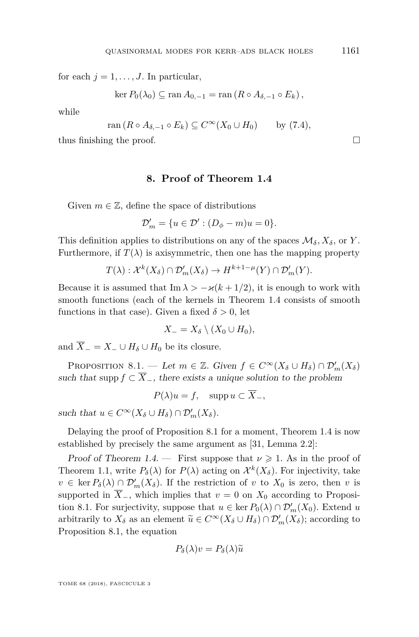for each  $j = 1, \ldots, J$ . In particular,

$$
\ker P_0(\lambda_0) \subseteq \operatorname{ran} A_{0,-1} = \operatorname{ran} (R \circ A_{\delta,-1} \circ E_k),
$$

while

$$
\operatorname{ran} (R \circ A_{\delta, -1} \circ E_k) \subseteq C^{\infty}(X_0 \cup H_0) \qquad \text{by (7.4)},
$$

thus finishing the proof.  $\Box$ 

#### **8. Proof of Theorem [1.4](#page-7-2)**

Given  $m \in \mathbb{Z}$ , define the space of distributions

$$
\mathcal{D}'_m = \{ u \in \mathcal{D}' : (D_\phi - m)u = 0 \}.
$$

This definition applies to distributions on any of the spaces  $\mathcal{M}_{\delta}$ ,  $X_{\delta}$ , or *Y*. Furthermore, if  $T(\lambda)$  is axisymmetric, then one has the mapping property

$$
T(\lambda) : \mathcal{X}^k(X_\delta) \cap \mathcal{D}'_m(X_\delta) \to H^{k+1-\mu}(Y) \cap \mathcal{D}'_m(Y).
$$

Because it is assumed that Im  $\lambda > -\varkappa (k + 1/2)$ , it is enough to work with smooth functions (each of the kernels in Theorem [1.4](#page-7-2) consists of smooth functions in that case). Given a fixed  $\delta > 0$ , let

$$
X_{-}=X_{\delta}\setminus (X_0\cup H_0),
$$

and  $\overline{X}$ <sub>−</sub> =  $X$ <sub>−</sub> ∪  $H$ <sup>δ</sup> ∪  $H$ <sup>0</sup> be its closure.

<span id="page-37-0"></span>PROPOSITION 8.1. — Let  $m \in \mathbb{Z}$ . Given  $f \in C^{\infty}(X_{\delta} \cup H_{\delta}) \cap \mathcal{D}'_{m}(X_{\delta})$ such that supp  $f \subset \overline{X}_{-}$ , there exists a unique solution to the problem

$$
P(\lambda)u = f, \quad \text{supp } u \subset \overline{X}_-,
$$

such that  $u \in C^{\infty}(X_{\delta} \cup H_{\delta}) \cap \mathcal{D}'_{m}(X_{\delta}).$ 

Delaying the proof of Proposition [8.1](#page-37-0) for a moment, Theorem [1.4](#page-7-2) is now established by precisely the same argument as [\[31,](#page-42-12) Lemma 2.2]:

Proof of Theorem [1.4.](#page-7-2) — First suppose that  $\nu \geq 1$ . As in the proof of Theorem [1.1,](#page-5-0) write  $P_{\delta}(\lambda)$  for  $P(\lambda)$  acting on  $\mathcal{X}^{k}(X_{\delta})$ . For injectivity, take  $v \in \text{ker } P_{\delta}(\lambda) \cap \mathcal{D}'_m(X_{\delta})$ . If the restriction of *v* to  $X_0$  is zero, then *v* is supported in  $\overline{X}_-$ , which implies that  $v = 0$  on  $X_0$  according to Proposi-tion [8.1.](#page-37-0) For surjectivity, suppose that  $u \in \text{ker } P_0(\lambda) \cap \mathcal{D}'_m(X_0)$ . Extend *u* arbitrarily to  $X_{\delta}$  as an element  $\widetilde{u} \in C^{\infty}(X_{\delta} \cup H_{\delta}) \cap \mathcal{D}'_{m}(X_{\delta})$ ; according to Proposition 8.1, the equation Proposition [8.1,](#page-37-0) the equation

$$
P_{\delta}(\lambda)v = P_{\delta}(\lambda)\widetilde{u}
$$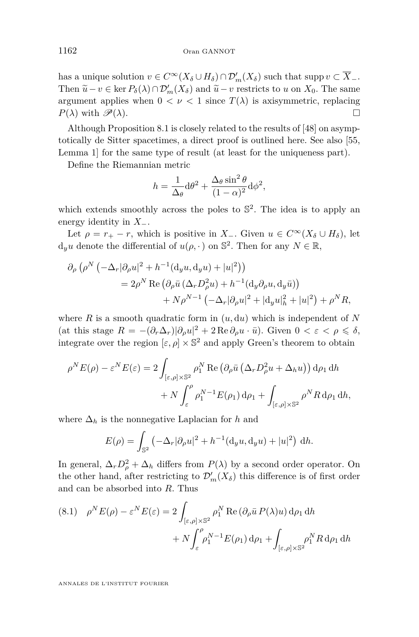has a unique solution  $v \in C^{\infty}(X_{\delta} \cup H_{\delta}) \cap \mathcal{D}'_{m}(X_{\delta})$  such that supp  $v \subset \overline{X}_{-}$ . Then  $\tilde{u} - v \in \text{ker } P_{\delta}(\lambda) \cap \mathcal{D}'_m(X_{\delta})$  and  $\tilde{u} - v$  restricts to *u* on  $X_0$ . The same<br>example problem than  $0 \le u \le 1$  since  $T(\lambda)$  is existent problem to argument applies when  $0 < \nu < 1$  since  $T(\lambda)$  is axisymmetric, replacing  $P(\lambda)$  with  $\mathscr{P}(\lambda)$ .

Although Proposition [8.1](#page-37-0) is closely related to the results of [\[48\]](#page-42-22) on asymptotically de Sitter spacetimes, a direct proof is outlined here. See also [\[55,](#page-43-2) Lemma 1] for the same type of result (at least for the uniqueness part).

Define the Riemannian metric

$$
h = \frac{1}{\Delta_{\theta}} d\theta^{2} + \frac{\Delta_{\theta} \sin^{2} \theta}{(1 - \alpha)^{2}} d\phi^{2},
$$

which extends smoothly across the poles to  $\mathbb{S}^2$ . The idea is to apply an energy identity in *X*−.

Let  $\rho = r_+ - r$ , which is positive in *X*<sub>−</sub>. Given  $u \in C^{\infty}(X_{\delta} \cup H_{\delta})$ , let  $d_y u$  denote the differential of  $u(\rho, \cdot)$  on  $\mathbb{S}^2$ . Then for any  $N \in \mathbb{R}$ ,

$$
\partial_{\rho} \left( \rho^{N} \left( -\Delta_{r} |\partial_{\rho} u|^{2} + h^{-1} (\mathbf{d}_{y} u, \mathbf{d}_{y} u) + |u|^{2} \right) \right)
$$
  
=  $2 \rho^{N} \text{Re} \left( \partial_{\rho} \bar{u} \left( \Delta_{r} D_{\rho}^{2} u \right) + h^{-1} (\mathbf{d}_{y} \partial_{\rho} u, \mathbf{d}_{y} \bar{u}) \right)$   
+  $N \rho^{N-1} \left( -\Delta_{r} |\partial_{\rho} u|^{2} + |\mathbf{d}_{y} u|_{h}^{2} + |u|^{2} \right) + \rho^{N} R,$ 

where  $R$  is a smooth quadratic form in  $(u, du)$  which is independent of  $N$ (at this stage  $R = -(\partial_r \Delta_r)|\partial_\rho u|^2 + 2 \operatorname{Re} \partial_\rho u \cdot \bar{u}$ ). Given  $0 < \varepsilon < \rho \leq \delta$ , integrate over the region  $[\varepsilon, \rho] \times \mathbb{S}^2$  and apply Green's theorem to obtain

$$
\rho^N E(\rho) - \varepsilon^N E(\varepsilon) = 2 \int_{\left[\varepsilon,\rho\right] \times \mathbb{S}^2} \rho_1^N \operatorname{Re}\left(\partial_\rho \bar{u} \left(\Delta_r D_\rho^2 u + \Delta_h u\right)\right) d\rho_1 dh
$$

$$
+ N \int_{\varepsilon}^{\rho} \rho_1^{N-1} E(\rho_1) d\rho_1 + \int_{\left[\varepsilon,\rho\right] \times \mathbb{S}^2} \rho^N R d\rho_1 dh,
$$

where  $\Delta_h$  is the nonnegative Laplacian for h and

$$
E(\rho) = \int_{\mathbb{S}^2} \left( -\Delta_r |\partial_\rho u|^2 + h^{-1} (d_y u, d_y u) + |u|^2 \right) dh.
$$

In general,  $\Delta_r D_\rho^2 + \Delta_h$  differs from  $P(\lambda)$  by a second order operator. On the other hand, after restricting to  $\mathcal{D}'_m(X_\delta)$  this difference is of first order and can be absorbed into *R*. Thus

<span id="page-38-0"></span>(8.1) 
$$
\rho^N E(\rho) - \varepsilon^N E(\varepsilon) = 2 \int_{\left[\varepsilon,\rho\right] \times \mathbb{S}^2} \rho_1^N \operatorname{Re}\left(\partial_\rho \bar{u} P(\lambda) u\right) d\rho_1 dh + N \int_{\varepsilon}^{\rho} \rho_1^{N-1} E(\rho_1) d\rho_1 + \int_{\left[\varepsilon,\rho\right] \times \mathbb{S}^2} \rho_1^N R d\rho_1 dh
$$

ANNALES DE L'INSTITUT FOURIER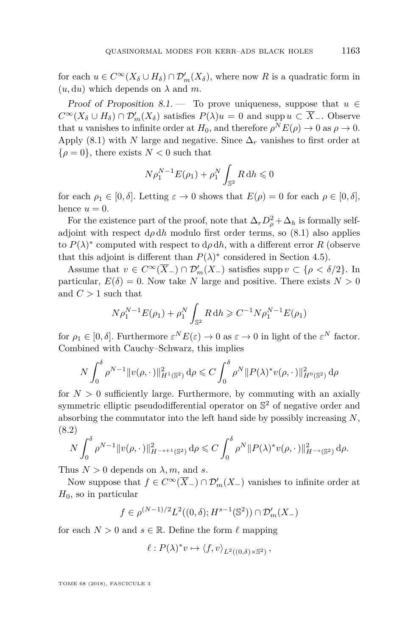for each  $u \in C^{\infty}(X_{\delta} \cup H_{\delta}) \cap \mathcal{D}'_{m}(X_{\delta})$ , where now *R* is a quadratic form in  $(u, du)$  which depends on  $\lambda$  and  $m$ .

Proof of Proposition [8.1.](#page-37-0) — To prove uniqueness, suppose that  $u \in$  $C^{\infty}(X_{\delta} \cup H_{\delta}) \cap \mathcal{D}'_{m}(X_{\delta})$  satisfies  $P(\lambda)u = 0$  and supp  $u \subset \overline{X}_{-}$ . Observe that *u* vanishes to infinite order at  $H_0$ , and therefore  $\rho^N E(\rho) \to 0$  as  $\rho \to 0$ . Apply [\(8.1\)](#page-38-0) with *N* large and negative. Since  $\Delta_r$  vanishes to first order at  $\{\rho = 0\}$ , there exists  $N < 0$  such that

$$
N\rho_1^{N-1}E(\rho_1) + \rho_1^N \int_{\mathbb{S}^2} R \, dh \leq 0
$$

for each  $\rho_1 \in [0, \delta]$ . Letting  $\varepsilon \to 0$  shows that  $E(\rho) = 0$  for each  $\rho \in [0, \delta]$ , hence  $u = 0$ .

For the existence part of the proof, note that  $\Delta_r D_\rho^2 + \Delta_h$  is formally selfadjoint with respect  $d\rho dh$  modulo first order terms, so [\(8.1\)](#page-38-0) also applies to  $P(\lambda)^*$  computed with respect to  $d\rho dh$ , with a different error *R* (observe that this adjoint is different than  $P(\lambda)$ <sup>\*</sup> considered in Section [4.5\)](#page-20-1).

Assume that  $v \in C^{\infty}(\overline{X}_-) \cap \mathcal{D}'_m(X_-)$  satisfies supp  $v \subset \{\rho < \delta/2\}$ . In particular,  $E(\delta) = 0$ . Now take *N* large and positive. There exists  $N > 0$ and  $C > 1$  such that

$$
N\rho_1^{N-1}E(\rho_1) + \rho_1^N \int_{\mathbb{S}^2} R \, dh \geqslant C^{-1} N \rho_1^{N-1} E(\rho_1)
$$

for  $\rho_1 \in [0, \delta]$ . Furthermore  $\varepsilon^N E(\varepsilon) \to 0$  as  $\varepsilon \to 0$  in light of the  $\varepsilon^N$  factor. Combined with Cauchy–Schwarz, this implies

$$
N \int_0^{\delta} \rho^{N-1} \|v(\rho, \cdot)\|_{H^1(\mathbb{S}^2)}^2 d\rho \leq C \int_0^{\delta} \rho^N \|P(\lambda)^* v(\rho, \cdot)\|_{H^0(\mathbb{S}^2)}^2 d\rho
$$

for  $N > 0$  sufficiently large. Furthermore, by commuting with an axially symmetric elliptic pseudodifferential operator on  $\mathbb{S}^2$  of negative order and absorbing the commutator into the left hand side by possibly increasing *N*, (8.2)

<span id="page-39-0"></span>
$$
N \int_0^{\delta} \rho^{N-1} \|v(\rho, \cdot)\|_{H^{-s+1}(\mathbb{S}^2)}^2 d\rho \leq C \int_0^{\delta} \rho^N \|P(\lambda)^* v(\rho, \cdot)\|_{H^{-s}(\mathbb{S}^2)}^2 d\rho.
$$

Thus  $N > 0$  depends on  $\lambda$ , m, and *s*.

Now suppose that  $f \in C^{\infty}(\overline{X}_{-}) \cap \mathcal{D}'_m(X_{-})$  vanishes to infinite order at  $H_0$ , so in particular

$$
f \in \rho^{(N-1)/2} L^2((0,\delta); H^{s-1}(\mathbb{S}^2)) \cap \mathcal{D}'_m(X_-)
$$

for each  $N > 0$  and  $s \in \mathbb{R}$ . Define the form  $\ell$  mapping

$$
\ell : P(\lambda)^* v \mapsto \langle f, v \rangle_{L^2((0,\delta) \times \mathbb{S}^2)},
$$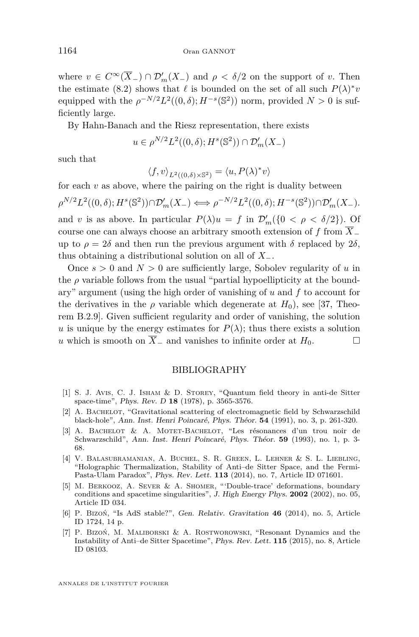where  $v \in C^{\infty}(\overline{X}_{-}) \cap \mathcal{D}'_{m}(X_{-})$  and  $\rho < \delta/2$  on the support of *v*. Then the estimate [\(8.2\)](#page-39-0) shows that  $\ell$  is bounded on the set of all such  $P(\lambda)^* v$ equipped with the  $\rho^{-N/2} L^2((0,\delta); H^{-s}(\mathbb{S}^2))$  norm, provided  $N > 0$  is sufficiently large.

By Hahn-Banach and the Riesz representation, there exists

 $u \in \rho^{N/2} L^2((0,\delta); H^s(\mathbb{S}^2)) \cap \mathcal{D}'_m(X)$ 

such that

$$
\langle f, v \rangle_{L^2((0,\delta) \times \mathbb{S}^2)} = \langle u, P(\lambda)^* v \rangle
$$

for each  $v$  as above, where the pairing on the right is duality between

 $\rho^{N/2} L^2((0, \delta); H^s(\mathbb{S}^2)) \cap \mathcal{D}'_m(X_-) \iff \rho^{-N/2} L^2((0, \delta); H^{-s}(\mathbb{S}^2)) \cap \mathcal{D}'_m(X_-).$ and *v* is as above. In particular  $P(\lambda)u = f$  in  $\mathcal{D}'_m({0 < \rho < \delta/2})$ . Of course one can always choose an arbitrary smooth extension of *f* from *X*<sup>−</sup> up to  $\rho = 2\delta$  and then run the previous argument with  $\delta$  replaced by 2 $\delta$ , thus obtaining a distributional solution on all of *X*−.

Once  $s > 0$  and  $N > 0$  are sufficiently large, Sobolev regularity of *u* in the  $\rho$  variable follows from the usual "partial hypoellipticity at the boundary" argument (using the high order of vanishing of *u* and *f* to account for the derivatives in the  $\rho$  variable which degenerate at  $H_0$ ), see [\[37,](#page-42-14) Theorem B.2.9]. Given sufficient regularity and order of vanishing, the solution *u* is unique by the energy estimates for  $P(\lambda)$ ; thus there exists a solution *u* which is smooth on  $\overline{X}_-$  and vanishes to infinite order at  $H_0$ .  $□$ 

#### BIBLIOGRAPHY

- <span id="page-40-3"></span>[1] S. J. Avis, C. J. Isham & D. Storey, "Quantum field theory in anti-de Sitter space-time", Phys. Rev. D **18** (1978), p. 3565-3576.
- <span id="page-40-5"></span>[2] A. BACHELOT, "Gravitational scattering of electromagnetic field by Schwarzschild black-hole", Ann. Inst. Henri Poincaré, Phys. Théor. **54** (1991), no. 3, p. 261-320.
- <span id="page-40-6"></span>[3] A. Bachelot & A. Motet-Bachelot, "Les résonances d'un trou noir de Schwarzschild", Ann. Inst. Henri Poincaré, Phys. Théor. **59** (1993), no. 1, p. 3- 68.
- <span id="page-40-0"></span>[4] V. Balasubramanian, A. Buchel, S. R. Green, L. Lehner & S. L. Liebling, "Holographic Thermalization, Stability of Anti–de Sitter Space, and the Fermi-Pasta-Ulam Paradox", Phys. Rev. Lett. **113** (2014), no. 7, Article ID 071601.
- <span id="page-40-4"></span>[5] M. Berkooz, A. Sever & A. Shomer, "'Double-trace' deformations, boundary conditions and spacetime singularities", J. High Energy Phys. **2002** (2002), no. 05, Article ID 034.
- <span id="page-40-1"></span>[6] P. Bizoń, "Is AdS stable?", Gen. Relativ. Gravitation **46** (2014), no. 5, Article ID 1724, 14 p.
- <span id="page-40-2"></span>[7] P. Bizoń, M. Maliborski & A. Rostworowski, "Resonant Dynamics and the Instability of Anti–de Sitter Spacetime", Phys. Rev. Lett. **115** (2015), no. 8, Article ID 08103.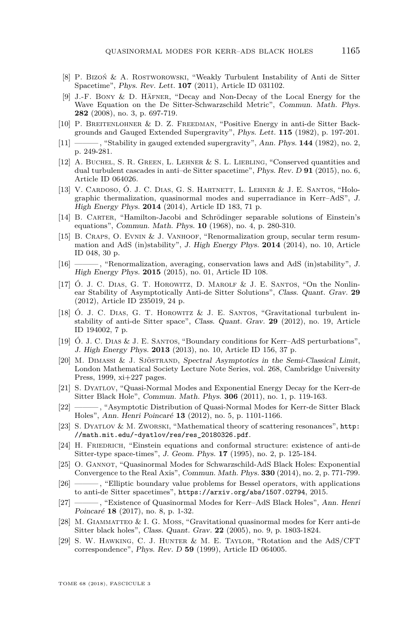- <span id="page-41-2"></span>[8] P. Bizoń & A. Rostworowski, "Weakly Turbulent Instability of Anti de Sitter Spacetime", Phys. Rev. Lett. **107** (2011), Article ID 031102.
- <span id="page-41-15"></span>[9] J.-F. Bony & D. Häfner, "Decay and Non-Decay of the Local Energy for the Wave Equation on the De Sitter-Schwarzschild Metric", Commun. Math. Phys. **282** (2008), no. 3, p. 697-719.
- <span id="page-41-10"></span>[10] P. Breitenlohner & D. Z. Freedman, "Positive Energy in anti-de Sitter Backgrounds and Gauged Extended Supergravity", Phys. Lett. **115** (1982), p. 197-201.
- <span id="page-41-11"></span>[11] ——— , "Stability in gauged extended supergravity", Ann. Phys. **144** (1982), no. 2, p. 249-281.
- <span id="page-41-3"></span>[12] A. Buchel, S. R. Green, L. Lehner & S. L. Liebling, "Conserved quantities and dual turbulent cascades in anti–de Sitter spacetime", Phys. Rev. D **91** (2015), no. 6, Article ID 064026.
- <span id="page-41-1"></span>[13] V. Cardoso, Ó. J. C. Dias, G. S. Hartnett, L. Lehner & J. E. Santos, "Holographic thermalization, quasinormal modes and superradiance in Kerr–AdS", J. High Energy Phys. **2014** (2014), Article ID 183, 71 p.
- <span id="page-41-21"></span>[14] B. Carter, "Hamilton-Jacobi and Schrödinger separable solutions of Einstein's equations", Commun. Math. Phys. **10** (1968), no. 4, p. 280-310.
- <span id="page-41-4"></span>[15] B. CRAPS, O. EVNIN & J. VANHOOF, "Renormalization group, secular term resummation and AdS (in)stability", J. High Energy Phys. **2014** (2014), no. 10, Article ID 048, 30 p.
- <span id="page-41-5"></span>[16] ——— , "Renormalization, averaging, conservation laws and AdS (in)stability", J. High Energy Phys. **2015** (2015), no. 01, Article ID 108.
- <span id="page-41-7"></span>[17] Ó. J. C. Dias, G. T. Horowitz, D. Marolf & J. E. Santos, "On the Nonlinear Stability of Asymptotically Anti-de Sitter Solutions", Class. Quant. Grav. **29** (2012), Article ID 235019, 24 p.
- <span id="page-41-6"></span>[18] Ó. J. C. Dias, G. T. Horowitz & J. E. Santos, "Gravitational turbulent instability of anti-de Sitter space", Class. Quant. Grav. **29** (2012), no. 19, Article ID 194002, 7 p.
- <span id="page-41-12"></span>[19] Ó. J. C. Dias & J. E. Santos, "Boundary conditions for Kerr–AdS perturbations", J. High Energy Phys. **2013** (2013), no. 10, Article ID 156, 37 p.
- <span id="page-41-19"></span>[20] M. Dimassi & J. Sjöstrand, Spectral Asymptotics in the Semi-Classical Limit, London Mathematical Society Lecture Note Series, vol. 268, Cambridge University Press, 1999, xi+227 pages.
- <span id="page-41-16"></span>[21] S. Dyatlov, "Quasi-Normal Modes and Exponential Energy Decay for the Kerr-de Sitter Black Hole", Commun. Math. Phys. **306** (2011), no. 1, p. 119-163.
- <span id="page-41-17"></span>[22] ——— , "Asymptotic Distribution of Quasi-Normal Modes for Kerr-de Sitter Black Holes", Ann. Henri Poincaré **13** (2012), no. 5, p. 1101-1166.
- <span id="page-41-14"></span>[23] S. Dyatlov & M. Zworski, "Mathematical theory of scattering resonances", [http:](http://math.mit.edu/~dyatlov/res/res_20180326.pdf) [//math.mit.edu/~dyatlov/res/res\\_20180326.pdf](http://math.mit.edu/~dyatlov/res/res_20180326.pdf).
- <span id="page-41-20"></span>[24] H. FRIEDRICH, "Einstein equations and conformal structure: existence of anti-de Sitter-type space-times", J. Geom. Phys. **17** (1995), no. 2, p. 125-184.
- <span id="page-41-8"></span>[25] O. Gannot, "Quasinormal Modes for Schwarzschild-AdS Black Holes: Exponential Convergence to the Real Axis", Commun. Math. Phys. **330** (2014), no. 2, p. 771-799.
- <span id="page-41-9"></span>[26] ——— , "Elliptic boundary value problems for Bessel operators, with applications to anti-de Sitter spacetimes", <https://arxiv.org/abs/1507.02794>, 2015.
- <span id="page-41-13"></span>[27] ——— , "Existence of Quasinormal Modes for Kerr–AdS Black Holes", Ann. Henri Poincaré **18** (2017), no. 8, p. 1-32.
- <span id="page-41-18"></span>[28] M. GIAMMATTEO & I. G. MOSS, "Gravitational quasinormal modes for Kerr anti-de Sitter black holes", Class. Quant. Grav. **22** (2005), no. 9, p. 1803-1824.
- <span id="page-41-0"></span>[29] S. W. Hawking, C. J. Hunter & M. E. Taylor, "Rotation and the AdS/CFT correspondence", Phys. Rev. D **59** (1999), Article ID 064005.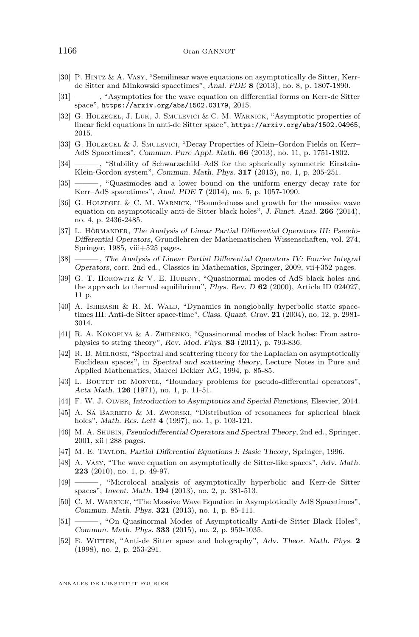- <span id="page-42-19"></span>[30] P. Hintz & A. Vasy, "Semilinear wave equations on asymptotically de Sitter, Kerrde Sitter and Minkowski spacetimes", Anal. PDE **8** (2013), no. 8, p. 1807-1890.
- <span id="page-42-12"></span>[31] ——— , "Asymptotics for the wave equation on differential forms on Kerr-de Sitter space", <https://arxiv.org/abs/1502.03179>, 2015.
- <span id="page-42-4"></span>[32] G. Holzegel, J. Luk, J. Smulevici & C. M. Warnick, "Asymptotic properties of linear field equations in anti-de Sitter space", <https://arxiv.org/abs/1502.04965>, 2015.
- <span id="page-42-5"></span>[33] G. Holzegel & J. Smulevici, "Decay Properties of Klein–Gordon Fields on Kerr– AdS Spacetimes", Commun. Pure Appl. Math. **66** (2013), no. 11, p. 1751-1802.
- <span id="page-42-6"></span>[34] ——— , "Stability of Schwarzschild–AdS for the spherically symmetric Einstein-Klein-Gordon system", Commun. Math. Phys. **317** (2013), no. 1, p. 205-251.
- <span id="page-42-7"></span>[35] ——— , "Quasimodes and a lower bound on the uniform energy decay rate for Kerr–AdS spacetimes", Anal. PDE **7** (2014), no. 5, p. 1057-1090.
- <span id="page-42-8"></span>[36] G. HOLZEGEL & C. M. WARNICK, "Boundedness and growth for the massive wave equation on asymptotically anti-de Sitter black holes", J. Funct. Anal. **266** (2014), no. 4, p. 2436-2485.
- <span id="page-42-14"></span>[37] L. Hörmander, The Analysis of Linear Partial Differential Operators III: Pseudo-Differential Operators, Grundlehren der Mathematischen Wissenschaften, vol. 274, Springer, 1985, viii+525 pages.
- <span id="page-42-16"></span>[38] ——— , The Analysis of Linear Partial Differential Operators IV: Fourier Integral Operators, corr. 2nd ed., Classics in Mathematics, Springer, 2009, vii+352 pages.
- <span id="page-42-3"></span>[39] G. T. Horowitz & V. E. Hubeny, "Quasinormal modes of AdS black holes and the approach to thermal equilibrium", Phys. Rev. D **62** (2000), Article ID 024027, 11 p.
- <span id="page-42-10"></span>[40] A. ISHIBASHI & R. M. WALD, "Dynamics in nonglobally hyperbolic static spacetimes III: Anti-de Sitter space-time", Class. Quant. Grav. **21** (2004), no. 12, p. 2981- 3014.
- <span id="page-42-1"></span>[41] R. A. KONOPLYA & A. ZHIDENKO, "Quasinormal modes of black holes: From astrophysics to string theory", Rev. Mod. Phys. **83** (2011), p. 793-836.
- <span id="page-42-18"></span>[42] R. B. Melrose, "Spectral and scattering theory for the Laplacian on asymptotically Euclidean spaces", in Spectral and scattering theory, Lecture Notes in Pure and Applied Mathematics, Marcel Dekker AG, 1994, p. 85-85.
- <span id="page-42-21"></span>[43] L. BOUTET DE MONVEL, "Boundary problems for pseudo-differential operators", Acta Math. **126** (1971), no. 1, p. 11-51.
- <span id="page-42-17"></span>[44] F. W. J. Olver, Introduction to Asymptotics and Special Functions, Elsevier, 2014.
- <span id="page-42-13"></span>[45] A. Sá Barreto & M. Zworski, "Distribution of resonances for spherical black holes", Math. Res. Lett **4** (1997), no. 1, p. 103-121.
- <span id="page-42-15"></span>[46] M. A. SHUBIN, Pseudodifferential Operators and Spectral Theory, 2nd ed., Springer, 2001, xii+288 pages.
- <span id="page-42-20"></span>[47] M. E. Taylor, Partial Differential Equations I: Basic Theory, Springer, 1996.
- <span id="page-42-22"></span>[48] A. Vasy, "The wave equation on asymptotically de Sitter-like spaces", Adv. Math. **223** (2010), no. 1, p. 49-97.
- <span id="page-42-0"></span>[49] ——— , "Microlocal analysis of asymptotically hyperbolic and Kerr-de Sitter spaces", Invent. Math. **194** (2013), no. 2, p. 381-513.
- <span id="page-42-11"></span>[50] C. M. Warnick, "The Massive Wave Equation in Asymptotically AdS Spacetimes", Commun. Math. Phys. **321** (2013), no. 1, p. 85-111.
- <span id="page-42-9"></span>[51] ——— , "On Quasinormal Modes of Asymptotically Anti-de Sitter Black Holes", Commun. Math. Phys. **333** (2015), no. 2, p. 959-1035.
- <span id="page-42-2"></span>[52] E. Witten, "Anti-de Sitter space and holography", Adv. Theor. Math. Phys. **2** (1998), no. 2, p. 253-291.